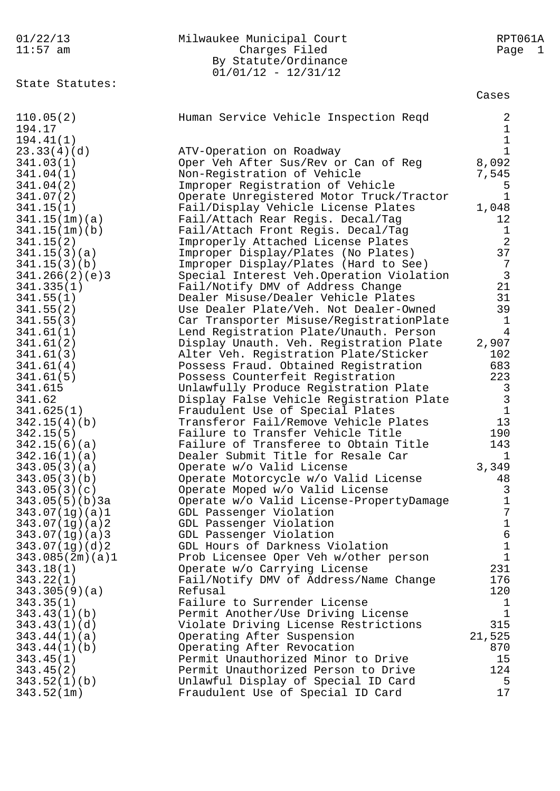| 01/22/13        | Milwaukee Municipal Court                | RPT061A        |
|-----------------|------------------------------------------|----------------|
| $11:57$ am      | Charges Filed                            | Page 1         |
|                 | By Statute/Ordinance                     |                |
|                 | $01/01/12 - 12/31/12$                    |                |
| State Statutes: |                                          |                |
|                 |                                          | Cases          |
| 110.05(2)       | Human Service Vehicle Inspection Reqd    | 2              |
| 194.17          |                                          | 1              |
| 194.41(1)       |                                          | $\mathbf 1$    |
| 23.33(4)(d)     | ATV-Operation on Roadway                 | $\mathbf 1$    |
| 341.03(1)       | Oper Veh After Sus/Rev or Can of Reg     | 8,092          |
| 341.04(1)       | Non-Registration of Vehicle              | 7,545          |
|                 |                                          |                |
| 341.04(2)       | Improper Registration of Vehicle         | 5              |
| 341.07(2)       | Operate Unregistered Motor Truck/Tractor | $\mathbf 1$    |
| 341.15(1)       | Fail/Display Vehicle License Plates      | 1,048          |
| 341.15(1m)(a)   | Fail/Attach Rear Regis. Decal/Tag        | 12             |
| 341.15(1m)(b)   | Fail/Attach Front Regis. Decal/Tag       | $\mathbf{1}$   |
| 341.15(2)       | Improperly Attached License Plates       | $\overline{2}$ |
| 341.15(3)(a)    | Improper Display/Plates (No Plates)      | 37             |
| 341.15(3)(b)    | Improper Display/Plates (Hard to See)    | $\overline{7}$ |
| 341.266(2)(e)3  | Special Interest Veh.Operation Violation | $\mathbf{3}$   |
| 341.335(1)      | Fail/Notify DMV of Address Change        | 21             |
| 341.55(1)       | Dealer Misuse/Dealer Vehicle Plates      | 31             |
| 341.55(2)       | Use Dealer Plate/Veh. Not Dealer-Owned   | 39             |
| 341.55(3)       | Car Transporter Misuse/RegistrationPlate | $\mathbf{1}$   |
| 341.61(1)       | Lend Registration Plate/Unauth. Person   | 4              |
| 341.61(2)       | Display Unauth. Veh. Registration Plate  | 2,907          |
| 341.61(3)       | Alter Veh. Registration Plate/Sticker    | 102            |
| 341.61(4)       | Possess Fraud. Obtained Registration     | 683            |
| 341.61(5)       | Possess Counterfeit Registration         | 223            |
| 341.615         | Unlawfully Produce Registration Plate    | 3              |
| 341.62          | Display False Vehicle Registration Plate | $\mathbf{3}$   |
| 341.625(1)      | Fraudulent Use of Special Plates         | $1\,$          |
| 342.15(4)(b)    | Transferor Fail/Remove Vehicle Plates    | 13             |
| 342.15(5)       | Failure to Transfer Vehicle Title        | 190            |
| 342.15(6)(a)    | Failure of Transferee to Obtain Title    | 143            |
| 342.16(1)(a)    | Dealer Submit Title for Resale Car       | $\mathbf{1}$   |
| 343.05(3)(a)    | Operate w/o Valid License                | 3,349          |
| 343.05(3)(b)    | Operate Motorcycle w/o Valid License     | 48             |
| 343.05(3)(c)    | Operate Moped w/o Valid License          | $\mathsf{3}$   |
| 343.05(5)(b)3a  | Operate w/o Valid License-PropertyDamage | $\mathbf 1$    |
| 343.07(1g)(a)1  | GDL Passenger Violation                  | 7              |
| 343.07(1g)(a)2  | GDL Passenger Violation                  | $\mathbf 1$    |
| 343.07(1g)(a)3  | GDL Passenger Violation                  | 6              |
| 343.07(1g)(d)2  | GDL Hours of Darkness Violation          | $\mathbf 1$    |
| 343.085(2m)(a)1 | Prob Licensee Oper Veh w/other person    | $\mathbf{1}$   |
| 343.18(1)       | Operate w/o Carrying License             | 231            |
| 343.22(1)       | Fail/Notify DMV of Address/Name Change   | 176            |
| 343.305(9)(a)   | Refusal                                  | 120            |
| 343.35(1)       | Failure to Surrender License             | 1              |
| 343.43(1)(b)    | Permit Another/Use Driving License       | $\mathbf 1$    |
| 343.43(1)(d)    | Violate Driving License Restrictions     | 315            |
| 343.44(1)(a)    | Operating After Suspension               | 21,525         |
| 343.44(1)(b)    | Operating After Revocation               | 870            |
| 343.45(1)       | Permit Unauthorized Minor to Drive       | 15             |
| 343.45(2)       | Permit Unauthorized Person to Drive      | 124            |
| 343.52(1)(b)    | Unlawful Display of Special ID Card      | 5              |
| 343.52(1m)      | Fraudulent Use of Special ID Card        | 17             |
|                 |                                          |                |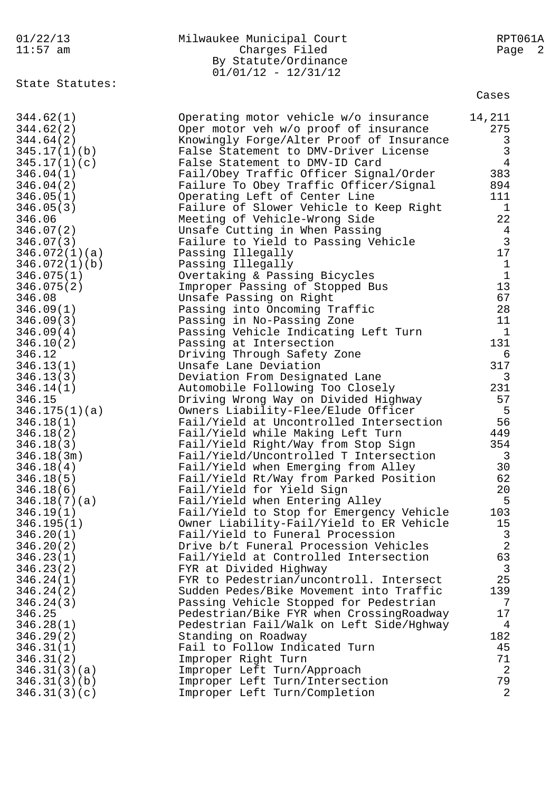| 01/22/13<br>$11:57$ am       | Milwaukee Municipal Court<br>Charges Filed<br>By Statute/Ordinance                | RPT061A<br>Page 2                |
|------------------------------|-----------------------------------------------------------------------------------|----------------------------------|
| State Statutes:              | $01/01/12 - 12/31/12$                                                             | Cases                            |
|                              |                                                                                   |                                  |
| 344.62(1)                    | Operating motor vehicle w/o insurance                                             | 14,211                           |
| 344.62(2)                    | Oper motor veh w/o proof of insurance                                             | 275                              |
| 344.64(2)<br>345.17(1)(b)    | Knowingly Forge/Alter Proof of Insurance<br>False Statement to DMV-Driver License | 3<br>$\mathbf{3}$                |
| 345.17(1)(c)                 | False Statement to DMV-ID Card                                                    | $\overline{4}$                   |
| 346.04(1)                    | Fail/Obey Traffic Officer Signal/Order                                            | 383                              |
| 346.04(2)                    | Failure To Obey Traffic Officer/Signal                                            | 894                              |
| 346.05(1)                    | Operating Left of Center Line                                                     | 111                              |
| 346.05(3)                    | Failure of Slower Vehicle to Keep Right                                           | $\mathbf{1}$                     |
| 346.06                       | Meeting of Vehicle-Wrong Side                                                     | 22                               |
| 346.07(2)                    | Unsafe Cutting in When Passing                                                    | $\overline{4}$                   |
| 346.07(3)                    | Failure to Yield to Passing Vehicle                                               | $\overline{3}$                   |
| 346.072(1)(a)                | Passing Illegally                                                                 | 17                               |
| 346.072(1)(b)                | Passing Illegally                                                                 | $\mathbf{1}$                     |
| 346.075(1)                   | Overtaking & Passing Bicycles                                                     | $1\,$                            |
| 346.075(2)<br>346.08         | Improper Passing of Stopped Bus<br>Unsafe Passing on Right                        | 13<br>67                         |
| 346.09(1)                    | Passing into Oncoming Traffic                                                     | 28                               |
| 346.09(3)                    | Passing in No-Passing Zone                                                        | 11                               |
| 346.09(4)                    | Passing Vehicle Indicating Left Turn                                              | $\mathbf{1}$                     |
| 346.10(2)                    | Passing at Intersection                                                           | 131                              |
| 346.12                       | Driving Through Safety Zone                                                       | 6                                |
| 346.13(1)                    | Unsafe Lane Deviation                                                             | 317                              |
| 346.13(3)                    | Deviation From Designated Lane                                                    | 3                                |
| 346.14(1)                    | Automobile Following Too Closely                                                  | 231                              |
| 346.15                       | Driving Wrong Way on Divided Highway                                              | 57                               |
| 346.175(1)(a)                | Owners Liability-Flee/Elude Officer                                               | - 5                              |
| 346.18(1)                    | Fail/Yield at Uncontrolled Intersection<br>Fail/Yield while Making Left Turn      | 56<br>449                        |
| 346.18(2)<br>346.18(3)       | Fail/Yield Right/Way from Stop Sign                                               | 354                              |
| 346.18(3m)                   | Fail/Yield/Uncontrolled T Intersection                                            | $\mathbf{3}$                     |
| 346.18(4)                    | Fail/Yield when Emerging from Alley                                               | 30                               |
| 346.18(5)                    | Fail/Yield Rt/Way from Parked Position                                            | 62                               |
| 346.18(6)                    | Fail/Yield for Yield Sign                                                         | 20                               |
| 346.18(7)(a)                 | Fail/Yield when Entering Alley                                                    | 5                                |
| 346.19(1)                    | Fail/Yield to Stop for Emergency Vehicle                                          | 103                              |
| 346.195(1)                   | Owner Liability-Fail/Yield to ER Vehicle                                          | 15                               |
| 346.20(1)                    | Fail/Yield to Funeral Procession                                                  | $\mathfrak{Z}$<br>$\overline{2}$ |
| 346.20(2)<br>346.23(1)       | Drive b/t Funeral Procession Vehicles<br>Fail/Yield at Controlled Intersection    | 63                               |
| 346.23(2)                    | FYR at Divided Highway                                                            | $\mathbf{3}$                     |
| 346.24(1)                    | FYR to Pedestrian/uncontroll. Intersect                                           | 25                               |
| 346.24(2)                    | Sudden Pedes/Bike Movement into Traffic                                           | 139                              |
| 346.24(3)                    | Passing Vehicle Stopped for Pedestrian                                            | 7                                |
| 346.25                       | Pedestrian/Bike FYR when CrossingRoadway                                          | 17                               |
| 346.28(1)                    | Pedestrian Fail/Walk on Left Side/Hghway                                          | 4                                |
| 346.29(2)                    | Standing on Roadway                                                               | 182                              |
| 346.31(1)                    | Fail to Follow Indicated Turn                                                     | 45                               |
| 346.31(2)                    | Improper Right Turn                                                               | 71                               |
| 346.31(3)(a)                 | Improper Left Turn/Approach                                                       | $\overline{a}$                   |
| 346.31(3)(b)<br>346.31(3)(c) | Improper Left Turn/Intersection<br>Improper Left Turn/Completion                  | 79<br>$\overline{2}$             |
|                              |                                                                                   |                                  |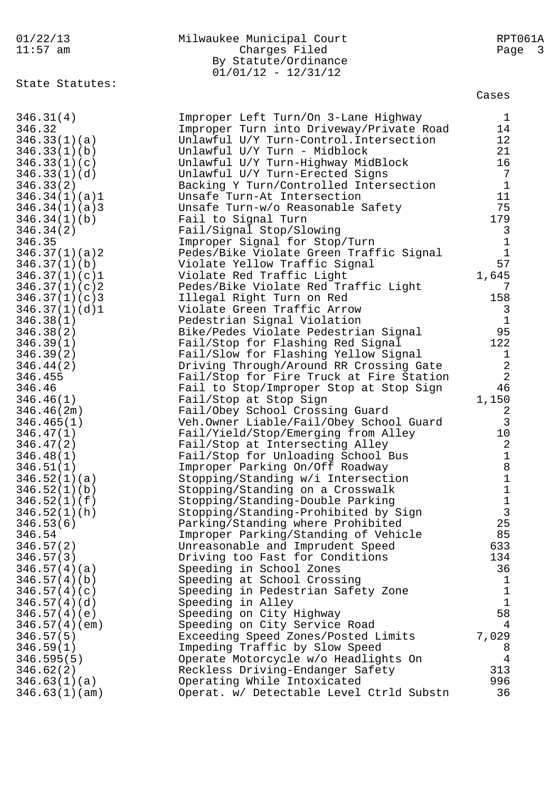|  |  | 01/22/13 |
|--|--|----------|
|  |  |          |

## Milwaukee Municipal Court<br>Charges Filed Charges Riled Rage 3 11:57 am Charges Filed By Statute/Ordinance  $01/01/12 - 12/31/12$

State Statutes:

| 346.31(4)                     | Improper Left Turn/On 3-Lane Highway     | $\mathbf{1}$   |
|-------------------------------|------------------------------------------|----------------|
| 346.32                        | Improper Turn into Driveway/Private Road | 14             |
| 346.33(1)(a)                  | Unlawful U/Y Turn-Control. Intersection  | 12             |
| 346.33(1)(b)                  | Unlawful U/Y Turn - Midblock             | 21             |
| 346.33(1)(c)                  | Unlawful U/Y Turn-Highway MidBlock       | 16             |
| 346.33(1)(d)                  | Unlawful U/Y Turn-Erected Signs          | 7              |
| 346.33(2)                     | Backing Y Turn/Controlled Intersection   | $\mathbf{1}$   |
| 346.34(1)(a)1                 | Unsafe Turn-At Intersection              | 11             |
| 346.34(1)(a)3                 | Unsafe Turn-w/o Reasonable Safety        | 75             |
| 346.34(1)(b)                  | Fail to Signal Turn                      | 179            |
| 346.34(2)                     | Fail/Signal Stop/Slowing                 | 3              |
| 346.35                        | Improper Signal for Stop/Turn            | $\mathbf{1}$   |
|                               | Pedes/Bike Violate Green Traffic Signal  | $\mathbf{1}$   |
| 346.37(1)(a)2<br>346.37(1)(b) |                                          | 57             |
|                               | Violate Yellow Traffic Signal            |                |
| 346.37(1)(c)1                 | Violate Red Traffic Light                | 1,645          |
| 346.37(1)(c)                  | Pedes/Bike Violate Red Traffic Light     | 7              |
| 346.37(1)(c)3                 | Illegal Right Turn on Red                | 158            |
| 346.37(1)(d)1                 | Violate Green Traffic Arrow              | 3              |
| 346.38(1)                     | Pedestrian Signal Violation              | $\mathbf{1}$   |
| 346.38(2)                     | Bike/Pedes Violate Pedestrian Signal     | 95             |
| 346.39(1)                     | Fail/Stop for Flashing Red Signal        | 122            |
| 346.39(2)                     | Fail/Slow for Flashing Yellow Signal     | $\mathbf{1}$   |
| 346.44(2)                     | Driving Through/Around RR Crossing Gate  | $\sqrt{2}$     |
| 346.455                       | Fail/Stop for Fire Truck at Fire Station | $\overline{2}$ |
| 346.46                        | Fail to Stop/Improper Stop at Stop Sign  | 46             |
| 346.46(1)                     | Fail/Stop at Stop Sign                   | 1,150          |
| 346.46(2m)                    | Fail/Obey School Crossing Guard          | 2              |
| 346.465(1)                    | Veh.Owner Liable/Fail/Obey School Guard  | $\mathfrak{Z}$ |
| 346.47(1)                     | Fail/Yield/Stop/Emerging from Alley      | 10             |
| 346.47(2)                     | Fail/Stop at Intersecting Alley          | 2              |
| 346.48(1)                     | Fail/Stop for Unloading School Bus       | $\mathbf{1}$   |
| 346.51(1)                     | Improper Parking On/Off Roadway          | 8              |
| 346.52(1)(a)                  | Stopping/Standing w/i Intersection       | $\mathbf 1$    |
| 346.52(1)(b)                  | Stopping/Standing on a Crosswalk         | $\mathbf 1$    |
| 346.52(1)(f)                  | Stopping/Standing-Double Parking         | $\frac{1}{3}$  |
| 346.52(1)(h)                  | Stopping/Standing-Prohibited by Sign     |                |
| 346.53(6)                     | Parking/Standing where Prohibited        | 25             |
| 346.54                        | Improper Parking/Standing of Vehicle     | 85             |
| 346.57(2)                     | Unreasonable and Imprudent Speed         | 633            |
| 346.57(3)                     | Driving too Fast for Conditions          | 134            |
| 346.57(4)(a)                  | Speeding in School Zones                 | 36             |
| 346.57(4)(b)                  | Speeding at School Crossing              | 1              |
| 346.57(4)(c)                  | Speeding in Pedestrian Safety Zone       | $\mathbf 1$    |
| 346.57(4)(d)                  | Speeding in Alley                        | $\mathbf 1$    |
| 346.57(4)(e)                  | Speeding on City Highway                 | 58             |
| 346.57(4)(em)                 | Speeding on City Service Road            | 4              |
| 346.57(5)                     | Exceeding Speed Zones/Posted Limits      | 7,029          |
| 346.59(1)                     | Impeding Traffic by Slow Speed           | 8              |
| 346.595(5)                    | Operate Motorcycle w/o Headlights On     | 4              |
| 346.62(2)                     | Reckless Driving-Endanger Safety         | 313            |
| 346.63(1)(a)                  | Operating While Intoxicated              | 996            |
| 346.63(1)(am)                 | Operat. w/ Detectable Level Ctrld Substn | 36             |
|                               |                                          |                |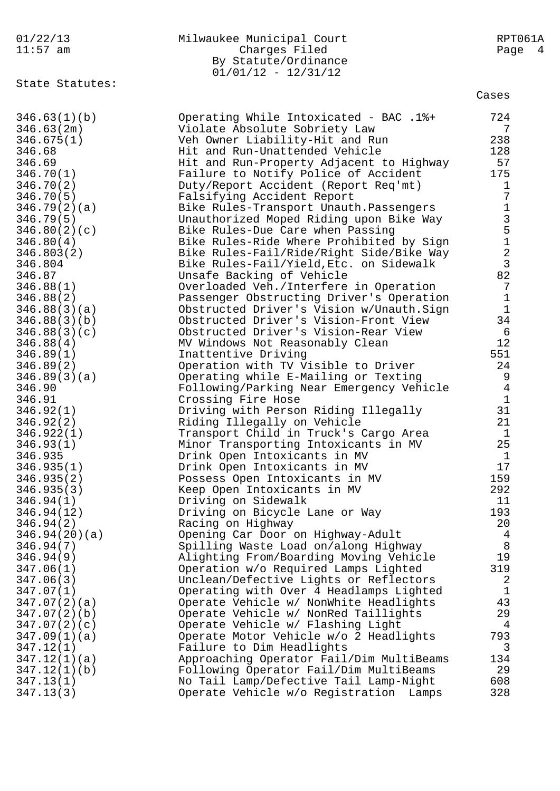| 01/22/13                   | Milwaukee Municipal Court                                     | RPT061A                                    |
|----------------------------|---------------------------------------------------------------|--------------------------------------------|
| $11:57$ am                 | Charges Filed                                                 | Page 4                                     |
|                            | By Statute/Ordinance                                          |                                            |
|                            | $01/01/12 - 12/31/12$                                         |                                            |
| State Statutes:            |                                                               |                                            |
|                            |                                                               | Cases                                      |
|                            |                                                               | 724                                        |
| 346.63(1)(b)<br>346.63(2m) | Operating While Intoxicated - BAC .1%+                        | 7                                          |
|                            | Violate Absolute Sobriety Law                                 | 238                                        |
| 346.675(1)                 | Veh Owner Liability-Hit and Run                               |                                            |
| 346.68                     | Hit and Run-Unattended Vehicle                                | 128                                        |
| 346.69                     | Hit and Run-Property Adjacent to Highway                      | 57                                         |
| 346.70(1)                  | Failure to Notify Police of Accident                          | 175                                        |
| 346.70(2)                  | Duty/Report Accident (Report Req'mt)                          | $\mathbf 1$                                |
| 346.70(5)                  | Falsifying Accident Report                                    | 7                                          |
| 346.79(2)(a)               | Bike Rules-Transport Unauth. Passengers                       | $\mathbf{1}$                               |
| 346.79(5)                  | Unauthorized Moped Riding upon Bike Way                       | $\begin{array}{c} 3 \\ 5 \\ 1 \end{array}$ |
| 346.80(2)(c)               | Bike Rules-Due Care when Passing                              |                                            |
| 346.80(4)                  | Bike Rules-Ride Where Prohibited by Sign                      |                                            |
| 346.803(2)                 | Bike Rules-Fail/Ride/Right Side/Bike Way                      | $\overline{\mathbf{c}}$                    |
| 346.804                    | Bike Rules-Fail/Yield, Etc. on Sidewalk                       | $\overline{3}$                             |
| 346.87                     | Unsafe Backing of Vehicle                                     | 82                                         |
| 346.88(1)                  | Overloaded Veh./Interfere in Operation                        | 7                                          |
| 346.88(2)                  | Passenger Obstructing Driver's Operation                      | $1\,$                                      |
| 346.88(3)(a)               | Obstructed Driver's Vision w/Unauth.Sign                      | $1\,$                                      |
| 346.88(3)(b)               | Obstructed Driver's Vision-Front View                         | 34                                         |
| 346.88(3)(c)               | Obstructed Driver's Vision-Rear View                          | 6                                          |
| 346.88(4)                  | MV Windows Not Reasonably Clean                               | 12                                         |
| 346.89(1)                  | Inattentive Driving                                           | 551                                        |
| 346.89(2)                  | Operation with TV Visible to Driver                           | 24                                         |
| 346.89(3)(a)               | Operating while E-Mailing or Texting                          | 9                                          |
| 346.90                     | Following/Parking Near Emergency Vehicle                      | $\overline{4}$                             |
| 346.91                     | Crossing Fire Hose                                            | $\mathbf{1}$                               |
| 346.92(1)                  | Driving with Person Riding Illegally                          | 31                                         |
| 346.92(2)                  | Riding Illegally on Vehicle                                   | 21                                         |
| 346.922(1)                 | Transport Child in Truck's Cargo Area                         | $\mathbf{1}$                               |
| 346.93(1)                  | Minor Transporting Intoxicants in MV                          | 25                                         |
| 346.935                    | Drink Open Intoxicants in MV                                  | $\mathbf{1}$<br>17                         |
| 346.935(1)<br>346.935(2)   | Drink Open Intoxicants in MV                                  | 159                                        |
| 346.935(3)                 | Possess Open Intoxicants in MV<br>Keep Open Intoxicants in MV | 292                                        |
| 346.94(1)                  | Driving on Sidewalk                                           | 11                                         |
| 346.94(12)                 | Driving on Bicycle Lane or Way                                | 193                                        |
| 346.94(2)                  | Racing on Highway                                             | 20                                         |
| 346.94(20)(a)              | Opening Car Door on Highway-Adult                             | $\overline{4}$                             |
| 346.94(7)                  | Spilling Waste Load on/along Highway                          | 8                                          |
| 346.94(9)                  | Alighting From/Boarding Moving Vehicle                        | 19                                         |
| 347.06(1)                  | Operation w/o Required Lamps Lighted                          | 319                                        |
| 347.06(3)                  | Unclean/Defective Lights or Reflectors                        | 2                                          |
| 347.07(1)                  | Operating with Over 4 Headlamps Lighted                       | $\mathbf{1}$                               |
| 347.07(2)(a)               | Operate Vehicle w/ NonWhite Headlights                        | 43                                         |
| 347.07(2)(b)               | Operate Vehicle w/ NonRed Taillights                          | 29                                         |
| 347.07(2)(c)               | Operate Vehicle w/ Flashing Light                             | 4                                          |
| 347.09(1)(a)               | Operate Motor Vehicle w/o 2 Headlights                        | 793                                        |
| 347.12(1)                  | Failure to Dim Headlights                                     | 3                                          |
| 347.12(1)(a)               | Approaching Operator Fail/Dim MultiBeams                      | 134                                        |
| 347.12(1)(b)               | Following Operator Fail/Dim MultiBeams                        | 29                                         |
| 347.13(1)                  | No Tail Lamp/Defective Tail Lamp-Night                        | 608                                        |
| 347.13(3)                  | Operate Vehicle w/o Registration<br>Lamps                     | 328                                        |
|                            |                                                               |                                            |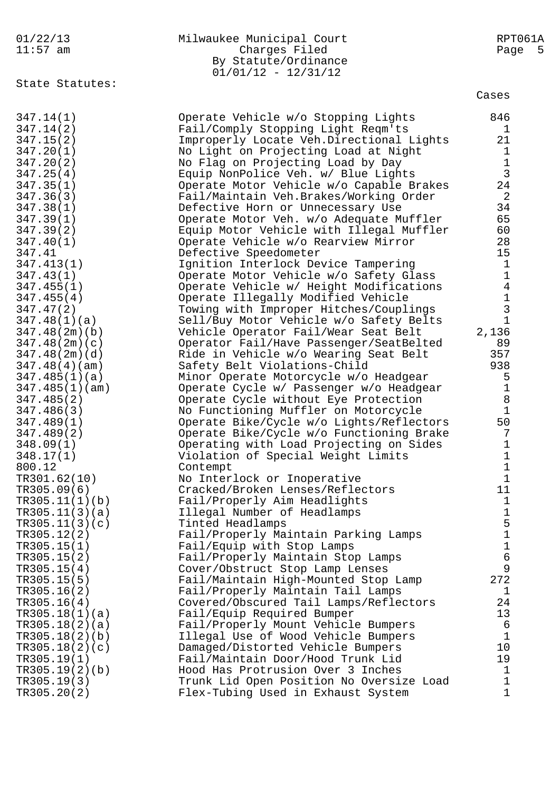| 01/22/13<br>$11:57$ am         | Milwaukee Municipal Court<br>Charges Filed<br>By Statute/Ordinance<br>$01/01/12 - 12/31/12$ | RPT061A<br>Page<br>- 5 |
|--------------------------------|---------------------------------------------------------------------------------------------|------------------------|
| State Statutes:                |                                                                                             | Cases                  |
| 347.14(1)                      | Operate Vehicle w/o Stopping Lights                                                         | 846                    |
| 347.14(2)                      | Fail/Comply Stopping Light Reqm'ts                                                          | 1                      |
| 347.15(2)                      | Improperly Locate Veh.Directional Lights                                                    | 21                     |
| 347.20(1)                      | No Light on Projecting Load at Night                                                        | $\mathbf 1$            |
| 347.20(2)                      | No Flag on Projecting Load by Day                                                           | $\mathbf 1$            |
| 347.25(4)                      | Equip NonPolice Veh. w/ Blue Lights                                                         | $\mathbf{3}$<br>24     |
| 347.35(1)<br>347.36(3)         | Operate Motor Vehicle w/o Capable Brakes<br>Fail/Maintain Veh.Brakes/Working Order          | $\overline{2}$         |
| 347.38(1)                      | Defective Horn or Unnecessary Use                                                           | 34                     |
| 347.39(1)                      | Operate Motor Veh. w/o Adequate Muffler                                                     | 65                     |
| 347.39(2)                      | Equip Motor Vehicle with Illegal Muffler                                                    | 60                     |
| 347.40(1)                      | Operate Vehicle w/o Rearview Mirror                                                         | 28                     |
| 347.41                         | Defective Speedometer                                                                       | 15                     |
| 347.413(1)                     | Ignition Interlock Device Tampering                                                         | $\mathbf 1$            |
| 347.43(1)                      | Operate Motor Vehicle w/o Safety Glass                                                      | 1                      |
| 347.455(1)                     | Operate Vehicle w/ Height Modifications                                                     | $\sqrt{4}$             |
| 347.455(4)                     | Operate Illegally Modified Vehicle                                                          | $\mathbf 1$            |
| 347.47(2)                      | Towing with Improper Hitches/Couplings                                                      | $\mathfrak{Z}$         |
| 347.48(1)(a)                   | Sell/Buy Motor Vehicle w/o Safety Belts                                                     | 1                      |
| 347.48(2m)(b)                  | Vehicle Operator Fail/Wear Seat Belt                                                        | 2,136                  |
| 347.48(2m)(c)                  | Operator Fail/Have Passenger/SeatBelted                                                     | 89<br>357              |
| 347.48(2m)(d)<br>347.48(4)(am) | Ride in Vehicle w/o Wearing Seat Belt<br>Safety Belt Violations-Child                       | 938                    |
| 347.485(1)(a)                  | Minor Operate Motorcycle w/o Headgear                                                       | 5                      |
| 347.485(1)(am)                 | Operate Cycle w/ Passenger w/o Headgear                                                     | $\mathbf 1$            |
| 347.485(2)                     | Operate Cycle without Eye Protection                                                        | $\, 8$                 |
| 347.486(3)                     | No Functioning Muffler on Motorcycle                                                        | $\mathbf 1$            |
| 347.489(1)                     | Operate Bike/Cycle w/o Lights/Reflectors                                                    | 50                     |
| 347.489(2)                     | Operate Bike/Cycle w/o Functioning Brake                                                    | 7                      |
| 348.09(1)                      | Operating with Load Projecting on Sides                                                     | $\mathbf 1$            |
| 348.17(1)                      | Violation of Special Weight Limits                                                          | $\mathbf 1$            |
| 800.12                         | Contempt                                                                                    | $\mathbf 1$            |
| TR301.62(10)                   | No Interlock or Inoperative                                                                 | $\mathbf 1$            |
| TR305.09(6)<br>TR305.11(1)(b)  | Cracked/Broken Lenses/Reflectors<br>Fail/Properly Aim Headlights                            | 11<br>$\mathbf 1$      |
| TR305.11(3)(a)                 | Illegal Number of Headlamps                                                                 | $\mathbf 1$            |
| TR305.11(3)(c)                 | Tinted Headlamps                                                                            | 5                      |
| TR305.12(2)                    | Fail/Properly Maintain Parking Lamps                                                        | $\mathbf 1$            |
| TR305.15(1)                    | Fail/Equip with Stop Lamps                                                                  | $\mathbf 1$            |
| TR305.15(2)                    | Fail/Properly Maintain Stop Lamps                                                           | 6                      |
| TR305.15(4)                    | Cover/Obstruct Stop Lamp Lenses                                                             | 9                      |
| TR305.15(5)                    | Fail/Maintain High-Mounted Stop Lamp                                                        | 272                    |
| TR305.16(2)                    | Fail/Properly Maintain Tail Lamps                                                           | 1                      |
| TR305.16(4)                    | Covered/Obscured Tail Lamps/Reflectors                                                      | 24                     |
| TR305.18(1)(a)                 | Fail/Equip Required Bumper                                                                  | 13                     |
| TR305.18(2)(a)                 | Fail/Properly Mount Vehicle Bumpers                                                         | 6                      |
| TR305.18(2)(b)                 | Illegal Use of Wood Vehicle Bumpers                                                         | $\mathbf{1}$<br>10     |
| TR305.18(2)(c)<br>TR305.19(1)  | Damaged/Distorted Vehicle Bumpers<br>Fail/Maintain Door/Hood Trunk Lid                      | 19                     |
| TR305.19(2)(b)                 | Hood Has Protrusion Over 3 Inches                                                           | $\mathbf 1$            |
| TR305.19(3)                    | Trunk Lid Open Position No Oversize Load                                                    | $\mathbf 1$            |
| TR305.20(2)                    | Flex-Tubing Used in Exhaust System                                                          | $\mathbf{1}$           |
|                                |                                                                                             |                        |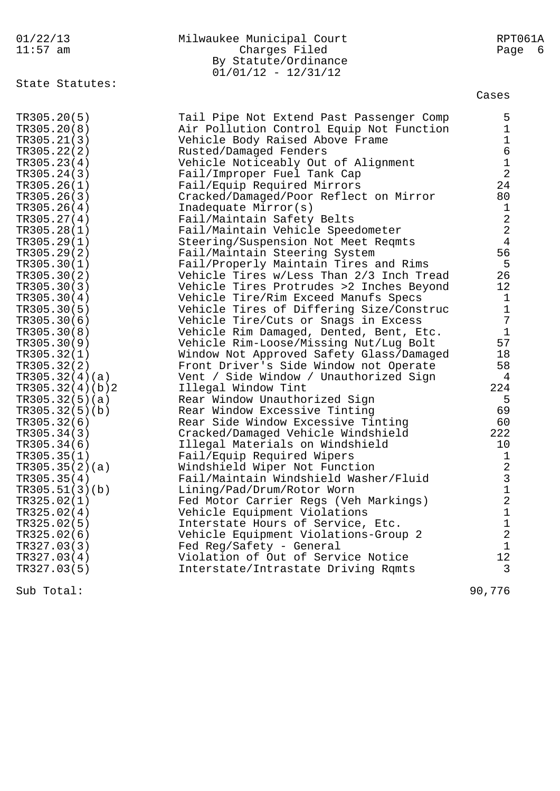| 01/22/13<br>$11:57$ am     | Milwaukee Municipal Court<br>Charges Filed<br>By Statute/Ordinance<br>$01/01/12 - 12/31/12$ | RPT061A<br>Page<br>- 6           |
|----------------------------|---------------------------------------------------------------------------------------------|----------------------------------|
| State Statutes:            |                                                                                             | Cases                            |
| TR305.20(5)<br>TR305.20(8) | Tail Pipe Not Extend Past Passenger Comp<br>Air Pollution Control Equip Not Function        | 5<br>$\mathbf{1}$                |
| TR305.21(3)                | Vehicle Body Raised Above Frame                                                             | $\mathbf{1}$                     |
| TR305.22(2)                | Rusted/Damaged Fenders                                                                      | 6                                |
| TR305.23(4)                | Vehicle Noticeably Out of Alignment                                                         | $\mathbf 1$                      |
| TR305.24(3)                | Fail/Improper Fuel Tank Cap                                                                 | $\overline{2}$                   |
| TR305.26(1)                | Fail/Equip Required Mirrors                                                                 | 24                               |
| TR305.26(3)                | Cracked/Damaged/Poor Reflect on Mirror                                                      | 80                               |
| TR305.26(4)                | Inadequate Mirror(s)                                                                        | $\mathbf 1$                      |
| TR305.27(4)                | Fail/Maintain Safety Belts                                                                  | $\overline{2}$                   |
| TR305.28(1)                | Fail/Maintain Vehicle Speedometer                                                           | $\overline{2}$<br>$\overline{4}$ |
| TR305.29(1)<br>TR305.29(2) | Steering/Suspension Not Meet Reqmts<br>Fail/Maintain Steering System                        | 56                               |
| TR305.30(1)                | Fail/Properly Maintain Tires and Rims                                                       | 5                                |
| TR305.30(2)                | Vehicle Tires w/Less Than 2/3 Inch Tread                                                    | 26                               |
| TR305.30(3)                | Vehicle Tires Protrudes >2 Inches Beyond                                                    | 12                               |
| TR305.30(4)                | Vehicle Tire/Rim Exceed Manufs Specs                                                        | $\mathbf{1}$                     |
| TR305.30(5)                | Vehicle Tires of Differing Size/Construc                                                    | $\mathbf 1$                      |
| TR305.30(6)                | Vehicle Tire/Cuts or Snags in Excess                                                        | $\overline{7}$                   |
| TR305.30(8)                | Vehicle Rim Damaged, Dented, Bent, Etc.                                                     | $\mathbf{1}$                     |
| TR305.30(9)                | Vehicle Rim-Loose/Missing Nut/Lug Bolt                                                      | 57                               |
| TR305.32(1)                | Window Not Approved Safety Glass/Damaged                                                    | 18                               |
| TR305.32(2)                | Front Driver's Side Window not Operate                                                      | 58                               |
| TR305.32(4)(a)             | Vent / Side Window / Unauthorized Sign                                                      | 4                                |
| TR305.32(4)(b)2            | Illegal Window Tint                                                                         | 224                              |
| TR305.32(5)(a)             | Rear Window Unauthorized Sign                                                               | 5                                |
| TR305.32(5)(b)             | Rear Window Excessive Tinting                                                               | 69                               |
| TR305.32(6)                | Rear Side Window Excessive Tinting                                                          | 60                               |
| TR305.34(3)                | Cracked/Damaged Vehicle Windshield                                                          | 222                              |
| TR305.34(6)                | Illegal Materials on Windshield                                                             | 10                               |
| TR305.35(1)                | Fail/Equip Required Wipers                                                                  | 1                                |
| TR305.35(2)(a)             | Windshield Wiper Not Function                                                               | 2                                |
| TR305.35(4)                | Fail/Maintain Windshield Washer/Fluid                                                       | 3                                |
| TR305.51(3)(b)             | Lining/Pad/Drum/Rotor Worn                                                                  | $\mathbf 1$                      |
| TR325.02(1)                | Fed Motor Carrier Regs (Veh Markings)                                                       | 2                                |
| TR325.02(4)                | Vehicle Equipment Violations                                                                | 1<br>1                           |
| TR325.02(5)<br>TR325.02(6) | Interstate Hours of Service, Etc.<br>Vehicle Equipment Violations-Group 2                   | 2                                |
| TR327.03(3)                | Fed Reg/Safety - General                                                                    | 1                                |
| TR327.03(4)                | Violation of Out of Service Notice                                                          | 12                               |
| TR327.03(5)                | Interstate/Intrastate Driving Rqmts                                                         | 3                                |
|                            |                                                                                             |                                  |
| Sub Total:                 |                                                                                             | 90,776                           |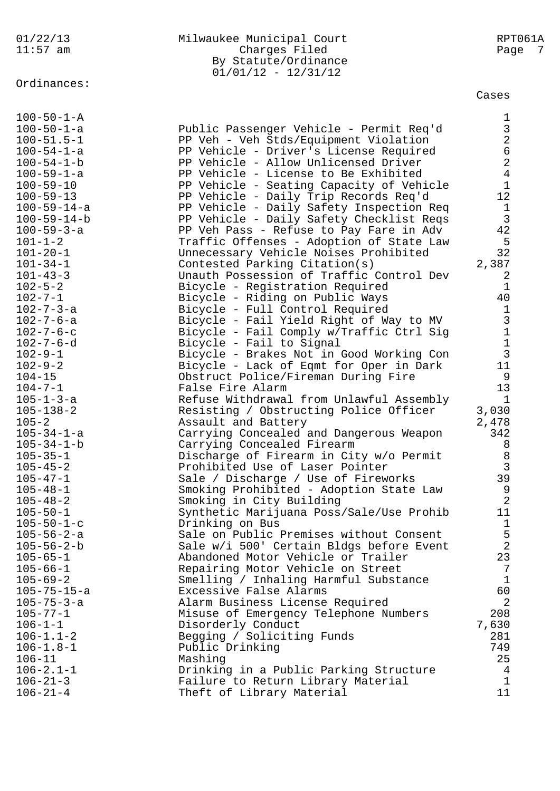## Ordinances:

#### 01/22/13 Milwaukee Municipal Court RPT061A 11:57 am Charges Filed Page 7 By Statute/Ordinance 01/01/12 - 12/31/12

Cases

| $100 - 50 - 1 - A$  |                                          | 1              |
|---------------------|------------------------------------------|----------------|
| $100 - 50 - 1 - a$  | Public Passenger Vehicle - Permit Req'd  | $\mathfrak{Z}$ |
| $100 - 51.5 - 1$    | PP Veh - Veh Stds/Equipment Violation    | $\overline{2}$ |
| $100 - 54 - 1 - a$  | PP Vehicle - Driver's License Required   | 6              |
| $100 - 54 - 1 - b$  | PP Vehicle - Allow Unlicensed Driver     | $\overline{a}$ |
| $100 - 59 - 1 - a$  | PP Vehicle - License to Be Exhibited     | 4              |
| $100 - 59 - 10$     | PP Vehicle - Seating Capacity of Vehicle | $\mathbf{1}$   |
| $100 - 59 - 13$     | PP Vehicle - Daily Trip Records Req'd    | $12 \,$        |
| $100 - 59 - 14 - a$ | PP Vehicle - Daily Safety Inspection Req | 1              |
| $100 - 59 - 14 - b$ | PP Vehicle - Daily Safety Checklist Reqs | $\mathfrak{Z}$ |
| $100 - 59 - 3 - a$  | PP Veh Pass - Refuse to Pay Fare in Adv  | 42             |
| $101 - 1 - 2$       | Traffic Offenses - Adoption of State Law | 5              |
| $101 - 20 - 1$      | Unnecessary Vehicle Noises Prohibited    | 32             |
| $101 - 34 - 1$      | Contested Parking Citation(s)            | 2,387          |
| $101 - 43 - 3$      | Unauth Possession of Traffic Control Dev | 2              |
| $102 - 5 - 2$       | Bicycle - Registration Required          | $\mathbf 1$    |
| $102 - 7 - 1$       | Bicycle - Riding on Public Ways          | 40             |
| $102 - 7 - 3 - a$   | Bicycle - Full Control Required          | $\mathbf{1}$   |
| $102 - 7 - 6 - a$   | Bicycle - Fail Yield Right of Way to MV  | $\mathfrak{Z}$ |
| $102 - 7 - 6 - c$   | Bicycle - Fail Comply w/Traffic Ctrl Sig | $1\,$          |
| $102 - 7 - 6 - d$   | Bicycle - Fail to Signal                 | $\mathbf{1}$   |
| $102 - 9 - 1$       | Bicycle - Brakes Not in Good Working Con | $\mathbf{3}$   |
| $102 - 9 - 2$       | Bicycle - Lack of Eqmt for Oper in Dark  | 11             |
| $104 - 15$          | Obstruct Police/Fireman During Fire      | 9              |
| $104 - 7 - 1$       | False Fire Alarm                         | 13             |
| $105 - 1 - 3 - a$   | Refuse Withdrawal from Unlawful Assembly | 1              |
| $105 - 138 - 2$     | Resisting / Obstructing Police Officer   | 3,030          |
| $105 - 2$           | Assault and Battery                      | 2,478          |
| $105 - 34 - 1 - a$  | Carrying Concealed and Dangerous Weapon  | 342            |
| $105 - 34 - 1 - b$  | Carrying Concealed Firearm               | 8              |
| $105 - 35 - 1$      | Discharge of Firearm in City w/o Permit  | 8              |
| $105 - 45 - 2$      | Prohibited Use of Laser Pointer          | $\overline{3}$ |
| $105 - 47 - 1$      | Sale / Discharge / Use of Fireworks      | 39             |
| $105 - 48 - 1$      | Smoking Prohibited - Adoption State Law  | 9              |
| $105 - 48 - 2$      | Smoking in City Building                 | $\overline{2}$ |
| $105 - 50 - 1$      | Synthetic Marijuana Poss/Sale/Use Prohib | 11             |
| $105 - 50 - 1 - c$  | Drinking on Bus                          | $\mathbf 1$    |
| $105 - 56 - 2 - a$  | Sale on Public Premises without Consent  | 5              |
| $105 - 56 - 2 - b$  | Sale w/i 500' Certain Bldgs before Event | $\overline{2}$ |
| $105 - 65 - 1$      | Abandoned Motor Vehicle or Trailer       | 23             |
| $105 - 66 - 1$      | Repairing Motor Vehicle on Street        | 7              |
| $105 - 69 - 2$      | Smelling / Inhaling Harmful Substance    | $\mathbf{1}$   |
| $105 - 75 - 15 - a$ | Excessive False Alarms                   | 60             |
| $105 - 75 - 3 - a$  | Alarm Business License Required          | 2              |
| $105 - 77 - 1$      | Misuse of Emergency Telephone Numbers    | 208            |
| $106 - 1 - 1$       | Disorderly Conduct                       | 7,630          |
| $106 - 1.1 - 2$     | Begging / Soliciting Funds               | 281            |
| $106 - 1.8 - 1$     | Public Drinking                          | 749            |
| $106 - 11$          | Mashing                                  | 25             |
| $106 - 2.1 - 1$     | Drinking in a Public Parking Structure   | 4              |
| $106 - 21 - 3$      | Failure to Return Library Material       | 1              |
| $106 - 21 - 4$      | Theft of Library Material                | 11             |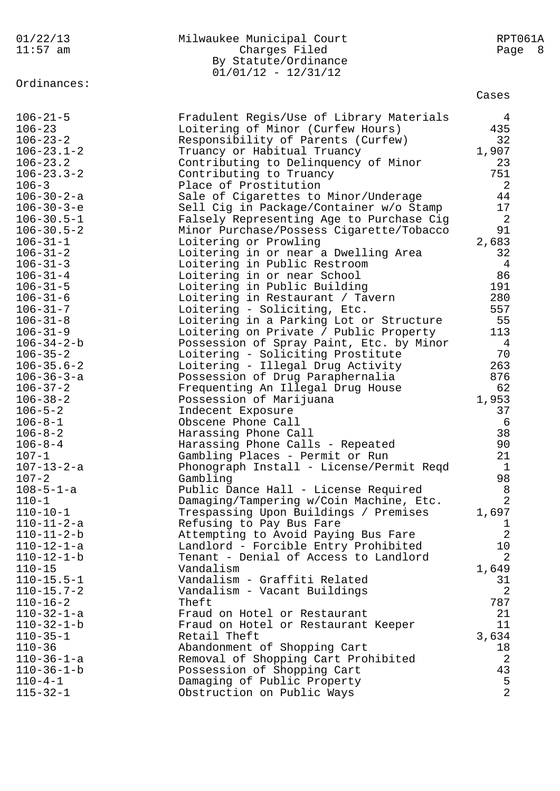| 01/22/13<br>$11:57$ am                   | Milwaukee Municipal Court<br>Charges Filed<br>By Statute/Ordinance<br>$01/01/12 - 12/31/12$ | RPT061A<br>Page<br>8 <sup>8</sup> |
|------------------------------------------|---------------------------------------------------------------------------------------------|-----------------------------------|
| Ordinances:                              |                                                                                             | Cases                             |
| $106 - 21 - 5$<br>$106 - 23$             | Fradulent Regis/Use of Library Materials<br>Loitering of Minor (Curfew Hours)               | 4<br>435                          |
| $106 - 23 - 2$                           | Responsibility of Parents (Curfew)                                                          | 32                                |
| $106 - 23.1 - 2$                         | Truancy or Habitual Truancy                                                                 | 1,907                             |
| $106 - 23.2$                             | Contributing to Delinquency of Minor                                                        | 23                                |
| $106 - 23.3 - 2$                         | Contributing to Truancy                                                                     | 751                               |
| $106 - 3$                                | Place of Prostitution                                                                       | 2                                 |
| $106 - 30 - 2 - a$                       | Sale of Cigarettes to Minor/Underage                                                        | 44<br>17                          |
| $106 - 30 - 3 - e$<br>$106 - 30.5 - 1$   | Sell Cig in Package/Container w/o Stamp<br>Falsely Representing Age to Purchase Cig         | 2                                 |
| $106 - 30.5 - 2$                         | Minor Purchase/Possess Cigarette/Tobacco                                                    | 91                                |
| $106 - 31 - 1$                           | Loitering or Prowling                                                                       | 2,683                             |
| $106 - 31 - 2$                           | Loitering in or near a Dwelling Area                                                        | 32                                |
| $106 - 31 - 3$                           | Loitering in Public Restroom                                                                | 4                                 |
| $106 - 31 - 4$                           | Loitering in or near School                                                                 | 86                                |
| $106 - 31 - 5$                           | Loitering in Public Building                                                                | 191                               |
| $106 - 31 - 6$                           | Loitering in Restaurant / Tavern                                                            | 280                               |
| $106 - 31 - 7$<br>$106 - 31 - 8$         | Loitering - Soliciting, Etc.<br>Loitering in a Parking Lot or Structure                     | 557<br>55                         |
| $106 - 31 - 9$                           | Loitering on Private / Public Property                                                      | 113                               |
| $106 - 34 - 2 - b$                       | Possession of Spray Paint, Etc. by Minor                                                    | 4                                 |
| $106 - 35 - 2$                           | Loitering - Soliciting Prostitute                                                           | 70                                |
| $106 - 35.6 - 2$                         | Loitering - Illegal Drug Activity                                                           | 263                               |
| $106 - 36 - 3 - a$                       | Possession of Drug Paraphernalia                                                            | 876                               |
| $106 - 37 - 2$                           | Frequenting An Illegal Drug House                                                           | 62                                |
| $106 - 38 - 2$                           | Possession of Marijuana                                                                     | 1,953                             |
| $106 - 5 - 2$                            | Indecent Exposure                                                                           | 37                                |
| $106 - 8 - 1$<br>$106 - 8 - 2$           | Obscene Phone Call                                                                          | 6<br>38                           |
| $106 - 8 - 4$                            | Harassing Phone Call<br>Harassing Phone Calls - Repeated                                    | 90                                |
| $107 - 1$                                | Gambling Places - Permit or Run                                                             | 21                                |
| $107 - 13 - 2 - a$                       | Phonograph Install - License/Permit Reqd                                                    | $\mathbf 1$                       |
| $107 - 2$                                | Gambling                                                                                    | 98                                |
| $108 - 5 - 1 - a$                        | Public Dance Hall - License Required                                                        | 8                                 |
| $110 - 1$                                | Damaging/Tampering w/Coin Machine, Etc.                                                     | $\overline{2}$                    |
| $110 - 10 - 1$                           | Trespassing Upon Buildings / Premises                                                       | 1,697                             |
| $110 - 11 - 2 - a$<br>$110 - 11 - 2 - b$ | Refusing to Pay Bus Fare<br>Attempting to Avoid Paying Bus Fare                             | 1<br>$\overline{2}$               |
| $110 - 12 - 1 - a$                       | Landlord - Forcible Entry Prohibited                                                        | 10                                |
| $110 - 12 - 1 - b$                       | Tenant - Denial of Access to Landlord                                                       | $\overline{2}$                    |
| $110 - 15$                               | Vandalism                                                                                   | 1,649                             |
| $110 - 15.5 - 1$                         | Vandalism - Graffiti Related                                                                | 31                                |
| $110 - 15.7 - 2$                         | Vandalism - Vacant Buildings                                                                | 2                                 |
| $110 - 16 - 2$                           | Theft                                                                                       | 787                               |
| $110 - 32 - 1 - a$                       | Fraud on Hotel or Restaurant                                                                | 21                                |
| $110 - 32 - 1 - b$                       | Fraud on Hotel or Restaurant Keeper                                                         | 11                                |
| $110 - 35 - 1$<br>$110 - 36$             | Retail Theft<br>Abandonment of Shopping Cart                                                | 3,634<br>18                       |
| $110 - 36 - 1 - a$                       | Removal of Shopping Cart Prohibited                                                         | 2                                 |
| $110 - 36 - 1 - b$                       | Possession of Shopping Cart                                                                 | 43                                |
| $110 - 4 - 1$                            | Damaging of Public Property                                                                 | 5                                 |
| $115 - 32 - 1$                           | Obstruction on Public Ways                                                                  | $\overline{2}$                    |
|                                          |                                                                                             |                                   |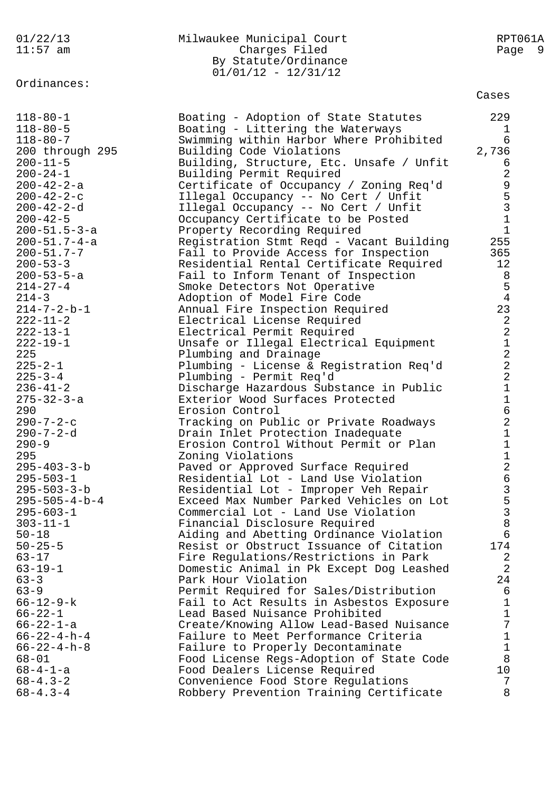# Ordinances:

#### 01/22/13 Milwaukee Municipal Court RPT061A 11:57 am Charges Filed Page 9 By Statute/Ordinance 01/01/12 - 12/31/12

Cases

| $118 - 80 - 5$<br>Boating - Littering the Waterways<br>$\mathbf 1$<br>$118 - 80 - 7$<br>6<br>Swimming within Harbor Where Prohibited<br>2,736<br>200 through 295<br>Building Code Violations<br>$200 - 11 - 5$<br>Building, Structure, Etc. Unsafe / Unfit<br>6<br>$\sqrt{2}$<br>$200 - 24 - 1$<br>Building Permit Required<br>9531<br>$200 - 42 - 2 - a$<br>Certificate of Occupancy / Zoning Req'd<br>$200 - 42 - 2 - c$<br>Illegal Occupancy -- No Cert / Unfit<br>$200 - 42 - 2 - d$<br>Illegal Occupancy -- No Cert / Unfit<br>Occupancy Certificate to be Posted<br>$200 - 42 - 5$<br>$\mathbf{1}$<br>$200 - 51.5 - 3 - a$<br>Property Recording Required<br>$200 - 51.7 - 4 - a$<br>255<br>Registration Stmt Reqd - Vacant Building<br>$200 - 51.7 - 7$<br>Fail to Provide Access for Inspection<br>365<br>$200 - 53 - 3$<br>12<br>Residential Rental Certificate Required<br>$200 - 53 - 5 - a$<br>$\,8\,$<br>Fail to Inform Tenant of Inspection<br>$\mathsf S$<br>$214 - 27 - 4$<br>Smoke Detectors Not Operative<br>$\sqrt{4}$<br>$214 - 3$<br>Adoption of Model Fire Code<br>23<br>$214 - 7 - 2 - b - 1$<br>Annual Fire Inspection Required<br>$22122$<br>$222$<br>$222 - 11 - 2$<br>Electrical License Required<br>$222 - 13 - 1$<br>Electrical Permit Required<br>$222 - 19 - 1$<br>Unsafe or Illegal Electrical Equipment<br>225<br>Plumbing and Drainage<br>$225 - 2 - 1$<br>Plumbing - License & Registration Req'd<br>$225 - 3 - 4$<br>Plumbing - Permit Req'd<br>$\mathbf 1$<br>$236 - 41 - 2$<br>Discharge Hazardous Substance in Public<br>$\mathbf 1$<br>$275 - 32 - 3 - a$<br>Exterior Wood Surfaces Protected<br>$\begin{array}{c} 6 \\ 2 \end{array}$<br>290<br>Erosion Control<br>$290 - 7 - 2 - c$<br>Tracking on Public or Private Roadways<br>$\mathbf 1$<br>$290 - 7 - 2 - d$<br>Drain Inlet Protection Inadequate<br>$\mathbf 1$<br>$290 - 9$<br>Erosion Control Without Permit or Plan<br>126353<br>295<br>Zoning Violations<br>$295 - 403 - 3 - b$<br>Paved or Approved Surface Required<br>$295 - 503 - 1$<br>Residential Lot - Land Use Violation<br>$295 - 503 - 3 - b$<br>Residential Lot - Improper Veh Repair<br>Exceed Max Number Parked Vehicles on Lot<br>$295 - 505 - 4 - b - 4$<br>$295 - 603 - 1$<br>Commercial Lot - Land Use Violation<br>8<br>Financial Disclosure Required<br>$303 - 11 - 1$<br>$50 - 18$<br>Aiding and Abetting Ordinance Violation<br>6<br>$50 - 25 - 5$<br>174<br>Resist or Obstruct Issuance of Citation<br>$63 - 17$<br>Fire Regulations/Restrictions in Park<br>2<br>2<br>$63 - 19 - 1$<br>Domestic Animal in Pk Except Dog Leashed<br>24<br>$63 - 3$<br>Park Hour Violation<br>6<br>$63 - 9$<br>Permit Required for Sales/Distribution<br>$\mathbf 1$<br>$66 - 12 - 9 - k$<br>Fail to Act Results in Asbestos Exposure<br>$\mathbf 1$<br>$66 - 22 - 1$<br>Lead Based Nuisance Prohibited<br>7<br>$66 - 22 - 1 - a$<br>Create/Knowing Allow Lead-Based Nuisance<br>$1\,$<br>$66 - 22 - 4 - h - 4$<br>Failure to Meet Performance Criteria<br>$\mathbf{1}$<br>Failure to Properly Decontaminate<br>8<br>Food License Regs-Adoption of State Code<br>10 <sub>o</sub><br>Food Dealers License Required<br>Convenience Food Store Regulations<br>7<br>8<br>Robbery Prevention Training Certificate | $118 - 80 - 1$        | Boating - Adoption of State Statutes | 229 |
|-----------------------------------------------------------------------------------------------------------------------------------------------------------------------------------------------------------------------------------------------------------------------------------------------------------------------------------------------------------------------------------------------------------------------------------------------------------------------------------------------------------------------------------------------------------------------------------------------------------------------------------------------------------------------------------------------------------------------------------------------------------------------------------------------------------------------------------------------------------------------------------------------------------------------------------------------------------------------------------------------------------------------------------------------------------------------------------------------------------------------------------------------------------------------------------------------------------------------------------------------------------------------------------------------------------------------------------------------------------------------------------------------------------------------------------------------------------------------------------------------------------------------------------------------------------------------------------------------------------------------------------------------------------------------------------------------------------------------------------------------------------------------------------------------------------------------------------------------------------------------------------------------------------------------------------------------------------------------------------------------------------------------------------------------------------------------------------------------------------------------------------------------------------------------------------------------------------------------------------------------------------------------------------------------------------------------------------------------------------------------------------------------------------------------------------------------------------------------------------------------------------------------------------------------------------------------------------------------------------------------------------------------------------------------------------------------------------------------------------------------------------------------------------------------------------------------------------------------------------------------------------------------------------------------------------------------------------------------------------------------------------------------------------------------------------------------------------------------------------------------------------------------------------------------------------------------------------------------------------------------------------------------|-----------------------|--------------------------------------|-----|
|                                                                                                                                                                                                                                                                                                                                                                                                                                                                                                                                                                                                                                                                                                                                                                                                                                                                                                                                                                                                                                                                                                                                                                                                                                                                                                                                                                                                                                                                                                                                                                                                                                                                                                                                                                                                                                                                                                                                                                                                                                                                                                                                                                                                                                                                                                                                                                                                                                                                                                                                                                                                                                                                                                                                                                                                                                                                                                                                                                                                                                                                                                                                                                                                                                                                       |                       |                                      |     |
|                                                                                                                                                                                                                                                                                                                                                                                                                                                                                                                                                                                                                                                                                                                                                                                                                                                                                                                                                                                                                                                                                                                                                                                                                                                                                                                                                                                                                                                                                                                                                                                                                                                                                                                                                                                                                                                                                                                                                                                                                                                                                                                                                                                                                                                                                                                                                                                                                                                                                                                                                                                                                                                                                                                                                                                                                                                                                                                                                                                                                                                                                                                                                                                                                                                                       |                       |                                      |     |
|                                                                                                                                                                                                                                                                                                                                                                                                                                                                                                                                                                                                                                                                                                                                                                                                                                                                                                                                                                                                                                                                                                                                                                                                                                                                                                                                                                                                                                                                                                                                                                                                                                                                                                                                                                                                                                                                                                                                                                                                                                                                                                                                                                                                                                                                                                                                                                                                                                                                                                                                                                                                                                                                                                                                                                                                                                                                                                                                                                                                                                                                                                                                                                                                                                                                       |                       |                                      |     |
|                                                                                                                                                                                                                                                                                                                                                                                                                                                                                                                                                                                                                                                                                                                                                                                                                                                                                                                                                                                                                                                                                                                                                                                                                                                                                                                                                                                                                                                                                                                                                                                                                                                                                                                                                                                                                                                                                                                                                                                                                                                                                                                                                                                                                                                                                                                                                                                                                                                                                                                                                                                                                                                                                                                                                                                                                                                                                                                                                                                                                                                                                                                                                                                                                                                                       |                       |                                      |     |
|                                                                                                                                                                                                                                                                                                                                                                                                                                                                                                                                                                                                                                                                                                                                                                                                                                                                                                                                                                                                                                                                                                                                                                                                                                                                                                                                                                                                                                                                                                                                                                                                                                                                                                                                                                                                                                                                                                                                                                                                                                                                                                                                                                                                                                                                                                                                                                                                                                                                                                                                                                                                                                                                                                                                                                                                                                                                                                                                                                                                                                                                                                                                                                                                                                                                       |                       |                                      |     |
|                                                                                                                                                                                                                                                                                                                                                                                                                                                                                                                                                                                                                                                                                                                                                                                                                                                                                                                                                                                                                                                                                                                                                                                                                                                                                                                                                                                                                                                                                                                                                                                                                                                                                                                                                                                                                                                                                                                                                                                                                                                                                                                                                                                                                                                                                                                                                                                                                                                                                                                                                                                                                                                                                                                                                                                                                                                                                                                                                                                                                                                                                                                                                                                                                                                                       |                       |                                      |     |
|                                                                                                                                                                                                                                                                                                                                                                                                                                                                                                                                                                                                                                                                                                                                                                                                                                                                                                                                                                                                                                                                                                                                                                                                                                                                                                                                                                                                                                                                                                                                                                                                                                                                                                                                                                                                                                                                                                                                                                                                                                                                                                                                                                                                                                                                                                                                                                                                                                                                                                                                                                                                                                                                                                                                                                                                                                                                                                                                                                                                                                                                                                                                                                                                                                                                       |                       |                                      |     |
|                                                                                                                                                                                                                                                                                                                                                                                                                                                                                                                                                                                                                                                                                                                                                                                                                                                                                                                                                                                                                                                                                                                                                                                                                                                                                                                                                                                                                                                                                                                                                                                                                                                                                                                                                                                                                                                                                                                                                                                                                                                                                                                                                                                                                                                                                                                                                                                                                                                                                                                                                                                                                                                                                                                                                                                                                                                                                                                                                                                                                                                                                                                                                                                                                                                                       |                       |                                      |     |
|                                                                                                                                                                                                                                                                                                                                                                                                                                                                                                                                                                                                                                                                                                                                                                                                                                                                                                                                                                                                                                                                                                                                                                                                                                                                                                                                                                                                                                                                                                                                                                                                                                                                                                                                                                                                                                                                                                                                                                                                                                                                                                                                                                                                                                                                                                                                                                                                                                                                                                                                                                                                                                                                                                                                                                                                                                                                                                                                                                                                                                                                                                                                                                                                                                                                       |                       |                                      |     |
|                                                                                                                                                                                                                                                                                                                                                                                                                                                                                                                                                                                                                                                                                                                                                                                                                                                                                                                                                                                                                                                                                                                                                                                                                                                                                                                                                                                                                                                                                                                                                                                                                                                                                                                                                                                                                                                                                                                                                                                                                                                                                                                                                                                                                                                                                                                                                                                                                                                                                                                                                                                                                                                                                                                                                                                                                                                                                                                                                                                                                                                                                                                                                                                                                                                                       |                       |                                      |     |
|                                                                                                                                                                                                                                                                                                                                                                                                                                                                                                                                                                                                                                                                                                                                                                                                                                                                                                                                                                                                                                                                                                                                                                                                                                                                                                                                                                                                                                                                                                                                                                                                                                                                                                                                                                                                                                                                                                                                                                                                                                                                                                                                                                                                                                                                                                                                                                                                                                                                                                                                                                                                                                                                                                                                                                                                                                                                                                                                                                                                                                                                                                                                                                                                                                                                       |                       |                                      |     |
|                                                                                                                                                                                                                                                                                                                                                                                                                                                                                                                                                                                                                                                                                                                                                                                                                                                                                                                                                                                                                                                                                                                                                                                                                                                                                                                                                                                                                                                                                                                                                                                                                                                                                                                                                                                                                                                                                                                                                                                                                                                                                                                                                                                                                                                                                                                                                                                                                                                                                                                                                                                                                                                                                                                                                                                                                                                                                                                                                                                                                                                                                                                                                                                                                                                                       |                       |                                      |     |
|                                                                                                                                                                                                                                                                                                                                                                                                                                                                                                                                                                                                                                                                                                                                                                                                                                                                                                                                                                                                                                                                                                                                                                                                                                                                                                                                                                                                                                                                                                                                                                                                                                                                                                                                                                                                                                                                                                                                                                                                                                                                                                                                                                                                                                                                                                                                                                                                                                                                                                                                                                                                                                                                                                                                                                                                                                                                                                                                                                                                                                                                                                                                                                                                                                                                       |                       |                                      |     |
|                                                                                                                                                                                                                                                                                                                                                                                                                                                                                                                                                                                                                                                                                                                                                                                                                                                                                                                                                                                                                                                                                                                                                                                                                                                                                                                                                                                                                                                                                                                                                                                                                                                                                                                                                                                                                                                                                                                                                                                                                                                                                                                                                                                                                                                                                                                                                                                                                                                                                                                                                                                                                                                                                                                                                                                                                                                                                                                                                                                                                                                                                                                                                                                                                                                                       |                       |                                      |     |
|                                                                                                                                                                                                                                                                                                                                                                                                                                                                                                                                                                                                                                                                                                                                                                                                                                                                                                                                                                                                                                                                                                                                                                                                                                                                                                                                                                                                                                                                                                                                                                                                                                                                                                                                                                                                                                                                                                                                                                                                                                                                                                                                                                                                                                                                                                                                                                                                                                                                                                                                                                                                                                                                                                                                                                                                                                                                                                                                                                                                                                                                                                                                                                                                                                                                       |                       |                                      |     |
|                                                                                                                                                                                                                                                                                                                                                                                                                                                                                                                                                                                                                                                                                                                                                                                                                                                                                                                                                                                                                                                                                                                                                                                                                                                                                                                                                                                                                                                                                                                                                                                                                                                                                                                                                                                                                                                                                                                                                                                                                                                                                                                                                                                                                                                                                                                                                                                                                                                                                                                                                                                                                                                                                                                                                                                                                                                                                                                                                                                                                                                                                                                                                                                                                                                                       |                       |                                      |     |
|                                                                                                                                                                                                                                                                                                                                                                                                                                                                                                                                                                                                                                                                                                                                                                                                                                                                                                                                                                                                                                                                                                                                                                                                                                                                                                                                                                                                                                                                                                                                                                                                                                                                                                                                                                                                                                                                                                                                                                                                                                                                                                                                                                                                                                                                                                                                                                                                                                                                                                                                                                                                                                                                                                                                                                                                                                                                                                                                                                                                                                                                                                                                                                                                                                                                       |                       |                                      |     |
|                                                                                                                                                                                                                                                                                                                                                                                                                                                                                                                                                                                                                                                                                                                                                                                                                                                                                                                                                                                                                                                                                                                                                                                                                                                                                                                                                                                                                                                                                                                                                                                                                                                                                                                                                                                                                                                                                                                                                                                                                                                                                                                                                                                                                                                                                                                                                                                                                                                                                                                                                                                                                                                                                                                                                                                                                                                                                                                                                                                                                                                                                                                                                                                                                                                                       |                       |                                      |     |
|                                                                                                                                                                                                                                                                                                                                                                                                                                                                                                                                                                                                                                                                                                                                                                                                                                                                                                                                                                                                                                                                                                                                                                                                                                                                                                                                                                                                                                                                                                                                                                                                                                                                                                                                                                                                                                                                                                                                                                                                                                                                                                                                                                                                                                                                                                                                                                                                                                                                                                                                                                                                                                                                                                                                                                                                                                                                                                                                                                                                                                                                                                                                                                                                                                                                       |                       |                                      |     |
|                                                                                                                                                                                                                                                                                                                                                                                                                                                                                                                                                                                                                                                                                                                                                                                                                                                                                                                                                                                                                                                                                                                                                                                                                                                                                                                                                                                                                                                                                                                                                                                                                                                                                                                                                                                                                                                                                                                                                                                                                                                                                                                                                                                                                                                                                                                                                                                                                                                                                                                                                                                                                                                                                                                                                                                                                                                                                                                                                                                                                                                                                                                                                                                                                                                                       |                       |                                      |     |
|                                                                                                                                                                                                                                                                                                                                                                                                                                                                                                                                                                                                                                                                                                                                                                                                                                                                                                                                                                                                                                                                                                                                                                                                                                                                                                                                                                                                                                                                                                                                                                                                                                                                                                                                                                                                                                                                                                                                                                                                                                                                                                                                                                                                                                                                                                                                                                                                                                                                                                                                                                                                                                                                                                                                                                                                                                                                                                                                                                                                                                                                                                                                                                                                                                                                       |                       |                                      |     |
|                                                                                                                                                                                                                                                                                                                                                                                                                                                                                                                                                                                                                                                                                                                                                                                                                                                                                                                                                                                                                                                                                                                                                                                                                                                                                                                                                                                                                                                                                                                                                                                                                                                                                                                                                                                                                                                                                                                                                                                                                                                                                                                                                                                                                                                                                                                                                                                                                                                                                                                                                                                                                                                                                                                                                                                                                                                                                                                                                                                                                                                                                                                                                                                                                                                                       |                       |                                      |     |
|                                                                                                                                                                                                                                                                                                                                                                                                                                                                                                                                                                                                                                                                                                                                                                                                                                                                                                                                                                                                                                                                                                                                                                                                                                                                                                                                                                                                                                                                                                                                                                                                                                                                                                                                                                                                                                                                                                                                                                                                                                                                                                                                                                                                                                                                                                                                                                                                                                                                                                                                                                                                                                                                                                                                                                                                                                                                                                                                                                                                                                                                                                                                                                                                                                                                       |                       |                                      |     |
|                                                                                                                                                                                                                                                                                                                                                                                                                                                                                                                                                                                                                                                                                                                                                                                                                                                                                                                                                                                                                                                                                                                                                                                                                                                                                                                                                                                                                                                                                                                                                                                                                                                                                                                                                                                                                                                                                                                                                                                                                                                                                                                                                                                                                                                                                                                                                                                                                                                                                                                                                                                                                                                                                                                                                                                                                                                                                                                                                                                                                                                                                                                                                                                                                                                                       |                       |                                      |     |
|                                                                                                                                                                                                                                                                                                                                                                                                                                                                                                                                                                                                                                                                                                                                                                                                                                                                                                                                                                                                                                                                                                                                                                                                                                                                                                                                                                                                                                                                                                                                                                                                                                                                                                                                                                                                                                                                                                                                                                                                                                                                                                                                                                                                                                                                                                                                                                                                                                                                                                                                                                                                                                                                                                                                                                                                                                                                                                                                                                                                                                                                                                                                                                                                                                                                       |                       |                                      |     |
|                                                                                                                                                                                                                                                                                                                                                                                                                                                                                                                                                                                                                                                                                                                                                                                                                                                                                                                                                                                                                                                                                                                                                                                                                                                                                                                                                                                                                                                                                                                                                                                                                                                                                                                                                                                                                                                                                                                                                                                                                                                                                                                                                                                                                                                                                                                                                                                                                                                                                                                                                                                                                                                                                                                                                                                                                                                                                                                                                                                                                                                                                                                                                                                                                                                                       |                       |                                      |     |
|                                                                                                                                                                                                                                                                                                                                                                                                                                                                                                                                                                                                                                                                                                                                                                                                                                                                                                                                                                                                                                                                                                                                                                                                                                                                                                                                                                                                                                                                                                                                                                                                                                                                                                                                                                                                                                                                                                                                                                                                                                                                                                                                                                                                                                                                                                                                                                                                                                                                                                                                                                                                                                                                                                                                                                                                                                                                                                                                                                                                                                                                                                                                                                                                                                                                       |                       |                                      |     |
|                                                                                                                                                                                                                                                                                                                                                                                                                                                                                                                                                                                                                                                                                                                                                                                                                                                                                                                                                                                                                                                                                                                                                                                                                                                                                                                                                                                                                                                                                                                                                                                                                                                                                                                                                                                                                                                                                                                                                                                                                                                                                                                                                                                                                                                                                                                                                                                                                                                                                                                                                                                                                                                                                                                                                                                                                                                                                                                                                                                                                                                                                                                                                                                                                                                                       |                       |                                      |     |
|                                                                                                                                                                                                                                                                                                                                                                                                                                                                                                                                                                                                                                                                                                                                                                                                                                                                                                                                                                                                                                                                                                                                                                                                                                                                                                                                                                                                                                                                                                                                                                                                                                                                                                                                                                                                                                                                                                                                                                                                                                                                                                                                                                                                                                                                                                                                                                                                                                                                                                                                                                                                                                                                                                                                                                                                                                                                                                                                                                                                                                                                                                                                                                                                                                                                       |                       |                                      |     |
|                                                                                                                                                                                                                                                                                                                                                                                                                                                                                                                                                                                                                                                                                                                                                                                                                                                                                                                                                                                                                                                                                                                                                                                                                                                                                                                                                                                                                                                                                                                                                                                                                                                                                                                                                                                                                                                                                                                                                                                                                                                                                                                                                                                                                                                                                                                                                                                                                                                                                                                                                                                                                                                                                                                                                                                                                                                                                                                                                                                                                                                                                                                                                                                                                                                                       |                       |                                      |     |
|                                                                                                                                                                                                                                                                                                                                                                                                                                                                                                                                                                                                                                                                                                                                                                                                                                                                                                                                                                                                                                                                                                                                                                                                                                                                                                                                                                                                                                                                                                                                                                                                                                                                                                                                                                                                                                                                                                                                                                                                                                                                                                                                                                                                                                                                                                                                                                                                                                                                                                                                                                                                                                                                                                                                                                                                                                                                                                                                                                                                                                                                                                                                                                                                                                                                       |                       |                                      |     |
|                                                                                                                                                                                                                                                                                                                                                                                                                                                                                                                                                                                                                                                                                                                                                                                                                                                                                                                                                                                                                                                                                                                                                                                                                                                                                                                                                                                                                                                                                                                                                                                                                                                                                                                                                                                                                                                                                                                                                                                                                                                                                                                                                                                                                                                                                                                                                                                                                                                                                                                                                                                                                                                                                                                                                                                                                                                                                                                                                                                                                                                                                                                                                                                                                                                                       |                       |                                      |     |
|                                                                                                                                                                                                                                                                                                                                                                                                                                                                                                                                                                                                                                                                                                                                                                                                                                                                                                                                                                                                                                                                                                                                                                                                                                                                                                                                                                                                                                                                                                                                                                                                                                                                                                                                                                                                                                                                                                                                                                                                                                                                                                                                                                                                                                                                                                                                                                                                                                                                                                                                                                                                                                                                                                                                                                                                                                                                                                                                                                                                                                                                                                                                                                                                                                                                       |                       |                                      |     |
|                                                                                                                                                                                                                                                                                                                                                                                                                                                                                                                                                                                                                                                                                                                                                                                                                                                                                                                                                                                                                                                                                                                                                                                                                                                                                                                                                                                                                                                                                                                                                                                                                                                                                                                                                                                                                                                                                                                                                                                                                                                                                                                                                                                                                                                                                                                                                                                                                                                                                                                                                                                                                                                                                                                                                                                                                                                                                                                                                                                                                                                                                                                                                                                                                                                                       |                       |                                      |     |
|                                                                                                                                                                                                                                                                                                                                                                                                                                                                                                                                                                                                                                                                                                                                                                                                                                                                                                                                                                                                                                                                                                                                                                                                                                                                                                                                                                                                                                                                                                                                                                                                                                                                                                                                                                                                                                                                                                                                                                                                                                                                                                                                                                                                                                                                                                                                                                                                                                                                                                                                                                                                                                                                                                                                                                                                                                                                                                                                                                                                                                                                                                                                                                                                                                                                       |                       |                                      |     |
|                                                                                                                                                                                                                                                                                                                                                                                                                                                                                                                                                                                                                                                                                                                                                                                                                                                                                                                                                                                                                                                                                                                                                                                                                                                                                                                                                                                                                                                                                                                                                                                                                                                                                                                                                                                                                                                                                                                                                                                                                                                                                                                                                                                                                                                                                                                                                                                                                                                                                                                                                                                                                                                                                                                                                                                                                                                                                                                                                                                                                                                                                                                                                                                                                                                                       |                       |                                      |     |
|                                                                                                                                                                                                                                                                                                                                                                                                                                                                                                                                                                                                                                                                                                                                                                                                                                                                                                                                                                                                                                                                                                                                                                                                                                                                                                                                                                                                                                                                                                                                                                                                                                                                                                                                                                                                                                                                                                                                                                                                                                                                                                                                                                                                                                                                                                                                                                                                                                                                                                                                                                                                                                                                                                                                                                                                                                                                                                                                                                                                                                                                                                                                                                                                                                                                       |                       |                                      |     |
|                                                                                                                                                                                                                                                                                                                                                                                                                                                                                                                                                                                                                                                                                                                                                                                                                                                                                                                                                                                                                                                                                                                                                                                                                                                                                                                                                                                                                                                                                                                                                                                                                                                                                                                                                                                                                                                                                                                                                                                                                                                                                                                                                                                                                                                                                                                                                                                                                                                                                                                                                                                                                                                                                                                                                                                                                                                                                                                                                                                                                                                                                                                                                                                                                                                                       |                       |                                      |     |
|                                                                                                                                                                                                                                                                                                                                                                                                                                                                                                                                                                                                                                                                                                                                                                                                                                                                                                                                                                                                                                                                                                                                                                                                                                                                                                                                                                                                                                                                                                                                                                                                                                                                                                                                                                                                                                                                                                                                                                                                                                                                                                                                                                                                                                                                                                                                                                                                                                                                                                                                                                                                                                                                                                                                                                                                                                                                                                                                                                                                                                                                                                                                                                                                                                                                       |                       |                                      |     |
|                                                                                                                                                                                                                                                                                                                                                                                                                                                                                                                                                                                                                                                                                                                                                                                                                                                                                                                                                                                                                                                                                                                                                                                                                                                                                                                                                                                                                                                                                                                                                                                                                                                                                                                                                                                                                                                                                                                                                                                                                                                                                                                                                                                                                                                                                                                                                                                                                                                                                                                                                                                                                                                                                                                                                                                                                                                                                                                                                                                                                                                                                                                                                                                                                                                                       |                       |                                      |     |
|                                                                                                                                                                                                                                                                                                                                                                                                                                                                                                                                                                                                                                                                                                                                                                                                                                                                                                                                                                                                                                                                                                                                                                                                                                                                                                                                                                                                                                                                                                                                                                                                                                                                                                                                                                                                                                                                                                                                                                                                                                                                                                                                                                                                                                                                                                                                                                                                                                                                                                                                                                                                                                                                                                                                                                                                                                                                                                                                                                                                                                                                                                                                                                                                                                                                       |                       |                                      |     |
|                                                                                                                                                                                                                                                                                                                                                                                                                                                                                                                                                                                                                                                                                                                                                                                                                                                                                                                                                                                                                                                                                                                                                                                                                                                                                                                                                                                                                                                                                                                                                                                                                                                                                                                                                                                                                                                                                                                                                                                                                                                                                                                                                                                                                                                                                                                                                                                                                                                                                                                                                                                                                                                                                                                                                                                                                                                                                                                                                                                                                                                                                                                                                                                                                                                                       |                       |                                      |     |
|                                                                                                                                                                                                                                                                                                                                                                                                                                                                                                                                                                                                                                                                                                                                                                                                                                                                                                                                                                                                                                                                                                                                                                                                                                                                                                                                                                                                                                                                                                                                                                                                                                                                                                                                                                                                                                                                                                                                                                                                                                                                                                                                                                                                                                                                                                                                                                                                                                                                                                                                                                                                                                                                                                                                                                                                                                                                                                                                                                                                                                                                                                                                                                                                                                                                       |                       |                                      |     |
|                                                                                                                                                                                                                                                                                                                                                                                                                                                                                                                                                                                                                                                                                                                                                                                                                                                                                                                                                                                                                                                                                                                                                                                                                                                                                                                                                                                                                                                                                                                                                                                                                                                                                                                                                                                                                                                                                                                                                                                                                                                                                                                                                                                                                                                                                                                                                                                                                                                                                                                                                                                                                                                                                                                                                                                                                                                                                                                                                                                                                                                                                                                                                                                                                                                                       |                       |                                      |     |
|                                                                                                                                                                                                                                                                                                                                                                                                                                                                                                                                                                                                                                                                                                                                                                                                                                                                                                                                                                                                                                                                                                                                                                                                                                                                                                                                                                                                                                                                                                                                                                                                                                                                                                                                                                                                                                                                                                                                                                                                                                                                                                                                                                                                                                                                                                                                                                                                                                                                                                                                                                                                                                                                                                                                                                                                                                                                                                                                                                                                                                                                                                                                                                                                                                                                       |                       |                                      |     |
|                                                                                                                                                                                                                                                                                                                                                                                                                                                                                                                                                                                                                                                                                                                                                                                                                                                                                                                                                                                                                                                                                                                                                                                                                                                                                                                                                                                                                                                                                                                                                                                                                                                                                                                                                                                                                                                                                                                                                                                                                                                                                                                                                                                                                                                                                                                                                                                                                                                                                                                                                                                                                                                                                                                                                                                                                                                                                                                                                                                                                                                                                                                                                                                                                                                                       | $66 - 22 - 4 - h - 8$ |                                      |     |
|                                                                                                                                                                                                                                                                                                                                                                                                                                                                                                                                                                                                                                                                                                                                                                                                                                                                                                                                                                                                                                                                                                                                                                                                                                                                                                                                                                                                                                                                                                                                                                                                                                                                                                                                                                                                                                                                                                                                                                                                                                                                                                                                                                                                                                                                                                                                                                                                                                                                                                                                                                                                                                                                                                                                                                                                                                                                                                                                                                                                                                                                                                                                                                                                                                                                       | $68 - 01$             |                                      |     |
|                                                                                                                                                                                                                                                                                                                                                                                                                                                                                                                                                                                                                                                                                                                                                                                                                                                                                                                                                                                                                                                                                                                                                                                                                                                                                                                                                                                                                                                                                                                                                                                                                                                                                                                                                                                                                                                                                                                                                                                                                                                                                                                                                                                                                                                                                                                                                                                                                                                                                                                                                                                                                                                                                                                                                                                                                                                                                                                                                                                                                                                                                                                                                                                                                                                                       | $68 - 4 - 1 - a$      |                                      |     |
|                                                                                                                                                                                                                                                                                                                                                                                                                                                                                                                                                                                                                                                                                                                                                                                                                                                                                                                                                                                                                                                                                                                                                                                                                                                                                                                                                                                                                                                                                                                                                                                                                                                                                                                                                                                                                                                                                                                                                                                                                                                                                                                                                                                                                                                                                                                                                                                                                                                                                                                                                                                                                                                                                                                                                                                                                                                                                                                                                                                                                                                                                                                                                                                                                                                                       | $68 - 4.3 - 2$        |                                      |     |
|                                                                                                                                                                                                                                                                                                                                                                                                                                                                                                                                                                                                                                                                                                                                                                                                                                                                                                                                                                                                                                                                                                                                                                                                                                                                                                                                                                                                                                                                                                                                                                                                                                                                                                                                                                                                                                                                                                                                                                                                                                                                                                                                                                                                                                                                                                                                                                                                                                                                                                                                                                                                                                                                                                                                                                                                                                                                                                                                                                                                                                                                                                                                                                                                                                                                       | $68 - 4.3 - 4$        |                                      |     |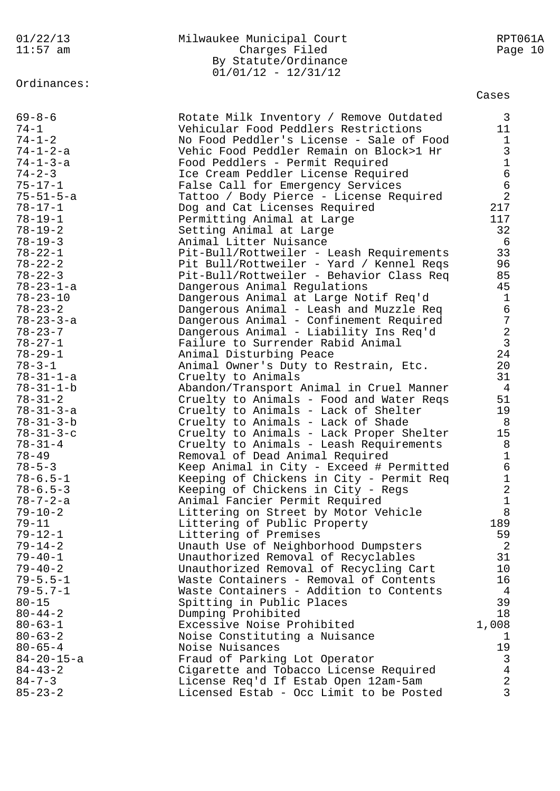|  |  | 01/22/13 |
|--|--|----------|
|  |  | --       |

## 01/22/13 Milwaukee Municipal Court RPT061A 11:57 am Charges Filed Page 10 By Statute/Ordinance 01/01/12 - 12/31/12

Ordinances:

Cases

| $69 - 8 - 6$      | Rotate Milk Inventory / Remove Outdated  | 3               |
|-------------------|------------------------------------------|-----------------|
| $74 - 1$          | Vehicular Food Peddlers Restrictions     | 11              |
| $74 - 1 - 2$      | No Food Peddler's License - Sale of Food | $\mathbf{1}$    |
| 74-1-2-a          | Vehic Food Peddler Remain on Block>1 Hr  | $\mathfrak{Z}$  |
| $74 - 1 - 3 - a$  | Food Peddlers - Permit Required          | $\mathbf{1}$    |
| $74 - 2 - 3$      | Ice Cream Peddler License Required       | $6\overline{6}$ |
| $75 - 17 - 1$     | False Call for Emergency Services        | $6\overline{6}$ |
| $75 - 51 - 5 - a$ |                                          | 2               |
|                   | Tattoo / Body Pierce - License Required  |                 |
| $78 - 17 - 1$     | Dog and Cat Licenses Required            | 217             |
| $78 - 19 - 1$     | Permitting Animal at Large               | 117             |
| $78 - 19 - 2$     | Setting Animal at Large                  | 32              |
| $78 - 19 - 3$     | Animal Litter Nuisance                   | 6               |
| $78 - 22 - 1$     | Pit-Bull/Rottweiler - Leash Requirements | 33              |
| $78 - 22 - 2$     | Pit Bull/Rottweiler - Yard / Kennel Reqs | 96              |
| $78 - 22 - 3$     | Pit-Bull/Rottweiler - Behavior Class Req | 85              |
| 78-23-1-a         | Dangerous Animal Regulations             | 45              |
| $78 - 23 - 10$    | Dangerous Animal at Large Notif Req'd    | $\mathbf{1}$    |
| $78 - 23 - 2$     | Dangerous Animal - Leash and Muzzle Req  | $6\overline{6}$ |
| 78-23-3-a         | Dangerous Animal - Confinement Required  | $\overline{7}$  |
| $78 - 23 - 7$     | Dangerous Animal - Liability Ins Req'd   | $\overline{a}$  |
| $78 - 27 - 1$     | Failure to Surrender Rabid Animal        | $\overline{3}$  |
| $78 - 29 - 1$     | Animal Disturbing Peace                  | 24              |
| $78 - 3 - 1$      | Animal Owner's Duty to Restrain, Etc.    | 20              |
| $78 - 31 - 1 - a$ | Cruelty to Animals                       | 31              |
| 78-31-1-b         | Abandon/Transport Animal in Cruel Manner | 4               |
| $78 - 31 - 2$     | Cruelty to Animals - Food and Water Reqs | 51              |
|                   |                                          | 19              |
| $78 - 31 - 3 - a$ | Cruelty to Animals - Lack of Shelter     |                 |
| $78 - 31 - 3 - b$ | Cruelty to Animals - Lack of Shade       | 8               |
| $78 - 31 - 3 - c$ | Cruelty to Animals - Lack Proper Shelter | 15              |
| $78 - 31 - 4$     | Cruelty to Animals - Leash Requirements  | 8               |
| $78 - 49$         | Removal of Dead Animal Required          | $\mathbf 1$     |
| $78 - 5 - 3$      | Keep Animal in City - Exceed # Permitted | $6\overline{6}$ |
| $78 - 6.5 - 1$    | Keeping of Chickens in City - Permit Req | $\mathbf 1$     |
| $78 - 6.5 - 3$    | Keeping of Chickens in City - Regs       | $\overline{2}$  |
| $78 - 7 - 2 - a$  | Animal Fancier Permit Required           | $\mathbf 1$     |
| $79 - 10 - 2$     | Littering on Street by Motor Vehicle     | 8               |
| $79 - 11$         | Littering of Public Property             | 189             |
| $79 - 12 - 1$     | Littering of Premises                    | 59              |
| $79 - 14 - 2$     | Unauth Use of Neighborhood Dumpsters     | 2               |
| $79 - 40 - 1$     | Unauthorized Removal of Recyclables      | 31              |
| $79 - 40 - 2$     | Unauthorized Removal of Recycling Cart   | 10 <sub>o</sub> |
| $79 - 5.5 - 1$    | Waste Containers - Removal of Contents   | 16              |
| $79 - 5.7 - 1$    | Waste Containers - Addition to Contents  | $\overline{4}$  |
| $80 - 15$         | Spitting in Public Places                | 39              |
| $80 - 44 - 2$     | Dumping Prohibited                       | 18              |
| $80 - 63 - 1$     | Excessive Noise Prohibited               | 1,008           |
| $80 - 63 - 2$     | Noise Constituting a Nuisance            | 1               |
| $80 - 65 - 4$     | Noise Nuisances                          | 19              |
|                   |                                          |                 |
| 84-20-15-a        | Fraud of Parking Lot Operator            | 3               |
| $84 - 43 - 2$     | Cigarette and Tobacco License Required   | $\overline{4}$  |
| $84 - 7 - 3$      | License Req'd If Estab Open 12am-5am     | $\overline{2}$  |
| $85 - 23 - 2$     | Licensed Estab - Occ Limit to be Posted  | $\mathsf{3}$    |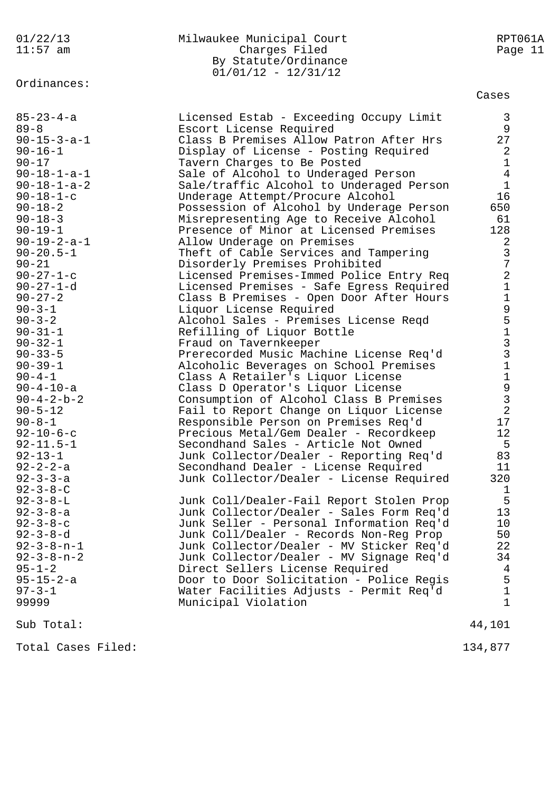# Ordinances:

#### 01/22/13 Milwaukee Municipal Court RPT061A 11:57 am Charges Filed Page 11 By Statute/Ordinance  $01/01/12 - 12/31/12$

Cases

| $85 - 23 - 4 - a$<br>$89 - 8$<br>$90 - 15 - 3 - a - 1$<br>$90 - 16 - 1$<br>$90 - 17$<br>$90 - 18 - 1 - a - 1$<br>$90 - 18 - 1 - a - 2$<br>$90 - 18 - 1 - c$<br>$90 - 18 - 2$<br>$90 - 18 - 3$<br>$90 - 19 - 1$<br>$90 - 19 - 2 - a - 1$<br>$90 - 20.5 - 1$<br>$90 - 21$<br>$90 - 27 - 1 - c$<br>$90 - 27 - 1 - d$<br>$90 - 27 - 2$<br>$90 - 3 - 1$<br>$90 - 3 - 2$<br>$90 - 31 - 1$<br>$90 - 32 - 1$<br>$90 - 33 - 5$<br>$90 - 39 - 1$<br>$90 - 4 - 1$<br>$90 - 4 - 10 - a$<br>$90 - 4 - 2 - b - 2$<br>$90 - 5 - 12$<br>$90 - 8 - 1$<br>$92 - 10 - 6 - c$<br>$92 - 11.5 - 1$<br>$92 - 13 - 1$<br>$92 - 2 - 2 - a$<br>$92 - 3 - 3 - a$<br>$92 - 3 - 8 - C$<br>$92 - 3 - 8 - L$<br>$92 - 3 - 8 - a$<br>$92 - 3 - 8 - c$<br>$92 - 3 - 8 - d$<br>$92 - 3 - 8 - n - 1$<br>$92 - 3 - 8 - n - 2$<br>$95 - 1 - 2$<br>$95 - 15 - 2 - a$<br>$97 - 3 - 1$<br>99999 | Licensed Estab - Exceeding Occupy Limit<br>Escort License Required<br>Class B Premises Allow Patron After Hrs<br>Display of License - Posting Required<br>Tavern Charges to Be Posted<br>Sale of Alcohol to Underaged Person<br>Sale/traffic Alcohol to Underaged Person<br>Underage Attempt/Procure Alcohol<br>Possession of Alcohol by Underage Person<br>Misrepresenting Age to Receive Alcohol<br>Presence of Minor at Licensed Premises<br>Allow Underage on Premises<br>Theft of Cable Services and Tampering<br>Disorderly Premises Prohibited<br>Licensed Premises-Immed Police Entry Req<br>Licensed Premises - Safe Egress Required<br>Class B Premises - Open Door After Hours<br>Liquor License Required<br>Alcohol Sales - Premises License Reqd<br>Refilling of Liquor Bottle<br>Fraud on Tavernkeeper<br>Prerecorded Music Machine License Req'd<br>Alcoholic Beverages on School Premises<br>Class A Retailer's Liquor License<br>Class D Operator's Liquor License<br>Consumption of Alcohol Class B Premises<br>Fail to Report Change on Liquor License<br>Responsible Person on Premises Req'd<br>Precious Metal/Gem Dealer - Recordkeep<br>Secondhand Sales - Article Not Owned<br>Junk Collector/Dealer - Reporting Req'd<br>Secondhand Dealer - License Required<br>Junk Collector/Dealer - License Required<br>Junk Coll/Dealer-Fail Report Stolen Prop<br>Junk Collector/Dealer - Sales Form Req'd<br>Junk Seller - Personal Information Req'd<br>Junk Coll/Dealer - Records Non-Reg Prop<br>Junk Collector/Dealer - MV Sticker Req'd<br>Junk Collector/Dealer - MV Signage Req'd<br>Direct Sellers License Required<br>Door to Door Solicitation - Police Regis<br>Water Facilities Adjusts - Permit Req'd<br>Municipal Violation | 3<br>9<br>27<br>2<br>1<br>$\overline{4}$<br>$\mathbf 1$<br>16<br>650<br>61<br>128<br>2<br>$\mathfrak{Z}$<br>7<br>$\overline{a}$<br>$1\,$<br>$\mathbf 1$<br>951331<br>$\mathbf 1$<br>$\frac{9}{3}$<br>$\overline{2}$<br>17<br>$12 \,$<br>5<br>83<br>11<br>320<br>1<br>5<br>13<br>10<br>50<br>22<br>34<br>4<br>5<br>1<br>1 |
|---------------------------------------------------------------------------------------------------------------------------------------------------------------------------------------------------------------------------------------------------------------------------------------------------------------------------------------------------------------------------------------------------------------------------------------------------------------------------------------------------------------------------------------------------------------------------------------------------------------------------------------------------------------------------------------------------------------------------------------------------------------------------------------------------------------------------------------------------------|------------------------------------------------------------------------------------------------------------------------------------------------------------------------------------------------------------------------------------------------------------------------------------------------------------------------------------------------------------------------------------------------------------------------------------------------------------------------------------------------------------------------------------------------------------------------------------------------------------------------------------------------------------------------------------------------------------------------------------------------------------------------------------------------------------------------------------------------------------------------------------------------------------------------------------------------------------------------------------------------------------------------------------------------------------------------------------------------------------------------------------------------------------------------------------------------------------------------------------------------------------------------------------------------------------------------------------------------------------------------------------------------------------------------------------------------------------------------------------------------------------------------------------------------------------------------------------------------------------------------------------------------------------------------------------------------------------------------------------------------------------|--------------------------------------------------------------------------------------------------------------------------------------------------------------------------------------------------------------------------------------------------------------------------------------------------------------------------|
| Sub Total:                                                                                                                                                                                                                                                                                                                                                                                                                                                                                                                                                                                                                                                                                                                                                                                                                                              |                                                                                                                                                                                                                                                                                                                                                                                                                                                                                                                                                                                                                                                                                                                                                                                                                                                                                                                                                                                                                                                                                                                                                                                                                                                                                                                                                                                                                                                                                                                                                                                                                                                                                                                                                            | 44,101                                                                                                                                                                                                                                                                                                                   |

Total Cases Filed: 134,877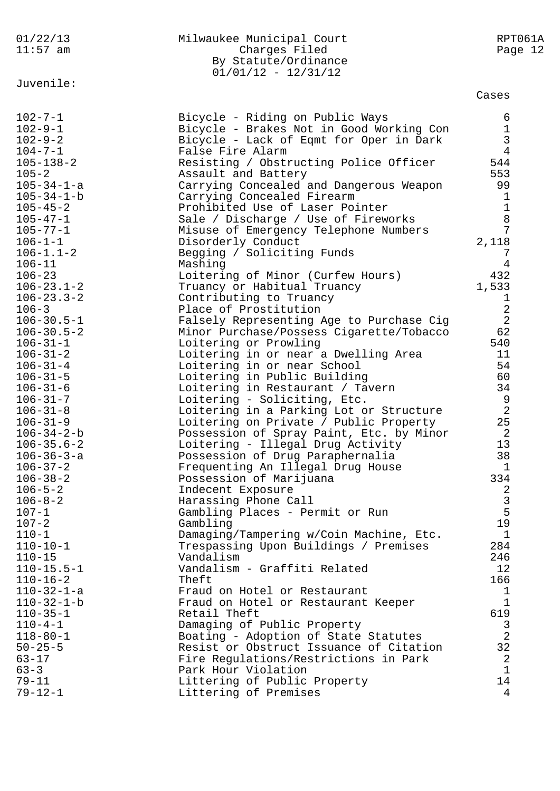| 01/22/13<br>$11:57$ am                   | Milwaukee Municipal Court<br>Charges Filed<br>By Statute/Ordinance    | RPT061A<br>Page 12 |
|------------------------------------------|-----------------------------------------------------------------------|--------------------|
| Juvenile:                                | $01/01/12 - 12/31/12$                                                 |                    |
|                                          |                                                                       | Cases              |
| $102 - 7 - 1$                            | Bicycle - Riding on Public Ways                                       | 6                  |
| $102 - 9 - 1$                            | Bicycle - Brakes Not in Good Working Con                              | $\mathbf{1}$       |
| $102 - 9 - 2$                            | Bicycle - Lack of Eqmt for Oper in Dark                               | $\mathbf{3}$       |
| $104 - 7 - 1$                            | False Fire Alarm                                                      | $\overline{4}$     |
| $105 - 138 - 2$                          | Resisting / Obstructing Police Officer                                | 544                |
| $105 - 2$                                | Assault and Battery                                                   | 553                |
| $105 - 34 - 1 - a$<br>$105 - 34 - 1 - b$ | Carrying Concealed and Dangerous Weapon<br>Carrying Concealed Firearm | 99<br>1            |
| $105 - 45 - 2$                           | Prohibited Use of Laser Pointer                                       | $\mathbf 1$        |
| $105 - 47 - 1$                           | Sale / Discharge / Use of Fireworks                                   | 8                  |
| $105 - 77 - 1$                           | Misuse of Emergency Telephone Numbers                                 | 7                  |
| $106 - 1 - 1$                            | Disorderly Conduct                                                    | 2,118              |
| $106 - 1.1 - 2$                          | Begging / Soliciting Funds                                            | 7                  |
| $106 - 11$                               | Mashing                                                               | 4                  |
| $106 - 23$                               | Loitering of Minor (Curfew Hours)                                     | 432                |
| $106 - 23.1 - 2$                         | Truancy or Habitual Truancy                                           | 1,533              |
| $106 - 23.3 - 2$                         | Contributing to Truancy                                               | ı                  |
| $106 - 3$                                | Place of Prostitution                                                 | $\overline{2}$     |
| $106 - 30.5 - 1$                         | Falsely Representing Age to Purchase Cig                              | 2                  |
| $106 - 30.5 - 2$                         | Minor Purchase/Possess Cigarette/Tobacco                              | 62                 |
| $106 - 31 - 1$                           | Loitering or Prowling                                                 | 540                |
| $106 - 31 - 2$                           | Loitering in or near a Dwelling Area                                  | 11                 |
| $106 - 31 - 4$                           | Loitering in or near School                                           | 54                 |
| $106 - 31 - 5$<br>$106 - 31 - 6$         | Loitering in Public Building                                          | 60<br>34           |
| $106 - 31 - 7$                           | Loitering in Restaurant / Tavern<br>Loitering - Soliciting, Etc.      | 9                  |
| $106 - 31 - 8$                           | Loitering in a Parking Lot or Structure                               | $\overline{2}$     |
| $106 - 31 - 9$                           | Loitering on Private / Public Property                                | 25                 |
| $106 - 34 - 2 - b$                       | Possession of Spray Paint, Etc. by Minor                              | 2                  |
| $106 - 35.6 - 2$                         | Loitering - Illegal Drug Activity                                     | 13                 |
| $106 - 36 - 3 - a$                       | Possession of Drug Paraphernalia                                      | 38                 |
| $106 - 37 - 2$                           | Frequenting An Illegal Drug House                                     | $\mathbf{1}$       |
| $106 - 38 - 2$                           | Possession of Marijuana                                               | 334                |
| $106 - 5 - 2$                            | Indecent Exposure                                                     | 2                  |
| $106 - 8 - 2$                            | Harassing Phone Call                                                  | $\mathfrak{Z}$     |
| $107 - 1$                                | Gambling Places - Permit or Run                                       | 5                  |
| $107 - 2$                                | Gambling                                                              | 19                 |
| $110 - 1$<br>$110 - 10 - 1$              | Damaging/Tampering w/Coin Machine, Etc.                               | 1<br>284           |
| $110 - 15$                               | Trespassing Upon Buildings / Premises<br>Vandalism                    | 246                |
| $110 - 15.5 - 1$                         | Vandalism - Graffiti Related                                          | 12                 |
| $110 - 16 - 2$                           | Theft                                                                 | 166                |
| $110 - 32 - 1 - a$                       | Fraud on Hotel or Restaurant                                          | 1                  |
| $110 - 32 - 1 - b$                       | Fraud on Hotel or Restaurant Keeper                                   | $\mathbf{1}$       |
| $110 - 35 - 1$                           | Retail Theft                                                          | 619                |
| $110 - 4 - 1$                            | Damaging of Public Property                                           | 3                  |
| $118 - 80 - 1$                           | Boating - Adoption of State Statutes                                  | $\overline{2}$     |
| $50 - 25 - 5$                            | Resist or Obstruct Issuance of Citation                               | 32                 |
| $63 - 17$                                | Fire Regulations/Restrictions in Park                                 | 2                  |
| $63 - 3$                                 | Park Hour Violation                                                   | $\mathbf 1$        |
| $79 - 11$                                | Littering of Public Property                                          | 14                 |
| $79 - 12 - 1$                            | Littering of Premises                                                 | 4                  |